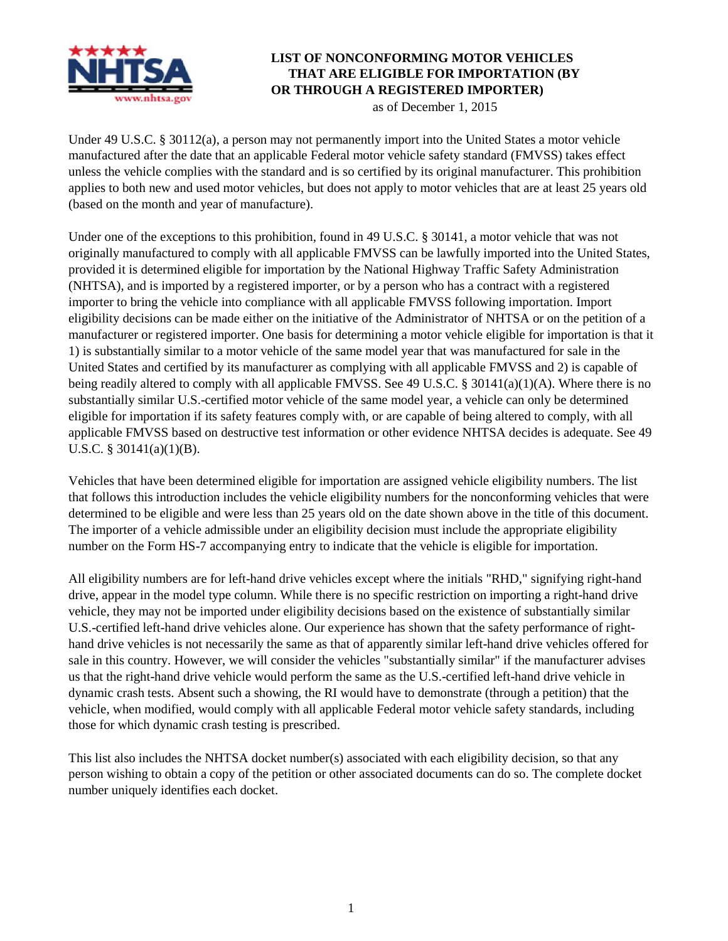

## **LIST OF NONCONFORMING MOTOR VEHICLES THAT ARE ELIGIBLE FOR IMPORTATION (BY OR THROUGH A REGISTERED IMPORTER)**

as of December 1, 2015

Under 49 U.S.C. § 30112(a), a person may not permanently import into the United States a motor vehicle manufactured after the date that an applicable Federal motor vehicle safety standard (FMVSS) takes effect unless the vehicle complies with the standard and is so certified by its original manufacturer. This prohibition applies to both new and used motor vehicles, but does not apply to motor vehicles that are at least 25 years old (based on the month and year of manufacture).

Under one of the exceptions to this prohibition, found in 49 U.S.C. § 30141, a motor vehicle that was not originally manufactured to comply with all applicable FMVSS can be lawfully imported into the United States, provided it is determined eligible for importation by the National Highway Traffic Safety Administration (NHTSA), and is imported by a registered importer, or by a person who has a contract with a registered importer to bring the vehicle into compliance with all applicable FMVSS following importation. Import eligibility decisions can be made either on the initiative of the Administrator of NHTSA or on the petition of a manufacturer or registered importer. One basis for determining a motor vehicle eligible for importation is that it 1) is substantially similar to a motor vehicle of the same model year that was manufactured for sale in the United States and certified by its manufacturer as complying with all applicable FMVSS and 2) is capable of being readily altered to comply with all applicable FMVSS. See 49 U.S.C. § 30141(a)(1)(A). Where there is no substantially similar U.S.-certified motor vehicle of the same model year, a vehicle can only be determined eligible for importation if its safety features comply with, or are capable of being altered to comply, with all applicable FMVSS based on destructive test information or other evidence NHTSA decides is adequate. See 49 U.S.C. § 30141(a)(1)(B).

Vehicles that have been determined eligible for importation are assigned vehicle eligibility numbers. The list that follows this introduction includes the vehicle eligibility numbers for the nonconforming vehicles that were determined to be eligible and were less than 25 years old on the date shown above in the title of this document. The importer of a vehicle admissible under an eligibility decision must include the appropriate eligibility number on the Form HS-7 accompanying entry to indicate that the vehicle is eligible for importation.

All eligibility numbers are for left-hand drive vehicles except where the initials "RHD," signifying right-hand drive, appear in the model type column. While there is no specific restriction on importing a right-hand drive vehicle, they may not be imported under eligibility decisions based on the existence of substantially similar U.S.-certified left-hand drive vehicles alone. Our experience has shown that the safety performance of righthand drive vehicles is not necessarily the same as that of apparently similar left-hand drive vehicles offered for sale in this country. However, we will consider the vehicles "substantially similar" if the manufacturer advises us that the right-hand drive vehicle would perform the same as the U.S.-certified left-hand drive vehicle in dynamic crash tests. Absent such a showing, the RI would have to demonstrate (through a petition) that the vehicle, when modified, would comply with all applicable Federal motor vehicle safety standards, including those for which dynamic crash testing is prescribed.

This list also includes the NHTSA docket number(s) associated with each eligibility decision, so that any person wishing to obtain a copy of the petition or other associated documents can do so. The complete docket number uniquely identifies each docket.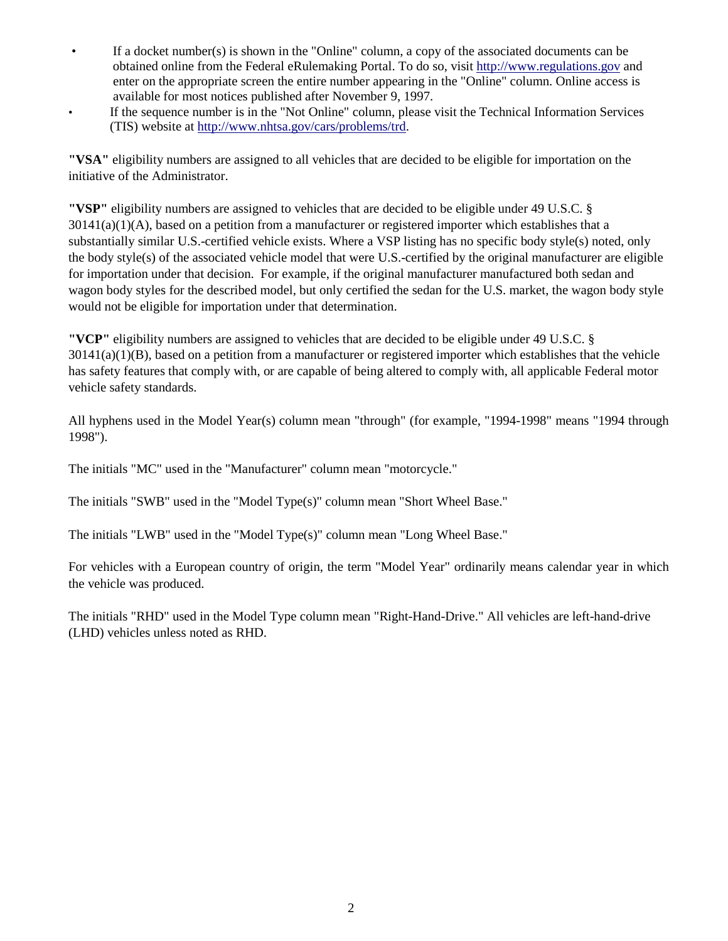- If a docket number(s) is shown in the "Online" column, a copy of the associated documents can be obtained online from the Federal eRulemaking Portal. To do so, visit [http://www.regulations.gov](http://www.regulations.gov/) and enter on the appropriate screen the entire number appearing in the "Online" column. Online access is available for most notices published after November 9, 1997.
- If the sequence number is in the "Not Online" column, please visit the Technical Information Services (TIS) website at [http://www.nhtsa.gov/cars/problems/trd.](http://www.nhtsa.gov/cars/problems/trd)

**"VSA"** eligibility numbers are assigned to all vehicles that are decided to be eligible for importation on the initiative of the Administrator.

**"VSP"** eligibility numbers are assigned to vehicles that are decided to be eligible under 49 U.S.C. §  $30141(a)(1)(A)$ , based on a petition from a manufacturer or registered importer which establishes that a substantially similar U.S.-certified vehicle exists. Where a VSP listing has no specific body style(s) noted, only the body style(s) of the associated vehicle model that were U.S.-certified by the original manufacturer are eligible for importation under that decision. For example, if the original manufacturer manufactured both sedan and wagon body styles for the described model, but only certified the sedan for the U.S. market, the wagon body style would not be eligible for importation under that determination.

**"VCP"** eligibility numbers are assigned to vehicles that are decided to be eligible under 49 U.S.C. §  $30141(a)(1)(B)$ , based on a petition from a manufacturer or registered importer which establishes that the vehicle has safety features that comply with, or are capable of being altered to comply with, all applicable Federal motor vehicle safety standards.

All hyphens used in the Model Year(s) column mean "through" (for example, "1994-1998" means "1994 through 1998").

The initials "MC" used in the "Manufacturer" column mean "motorcycle."

The initials "SWB" used in the "Model Type(s)" column mean "Short Wheel Base."

The initials "LWB" used in the "Model Type(s)" column mean "Long Wheel Base."

For vehicles with a European country of origin, the term "Model Year" ordinarily means calendar year in which the vehicle was produced.

The initials "RHD" used in the Model Type column mean "Right-Hand-Drive." All vehicles are left-hand-drive (LHD) vehicles unless noted as RHD.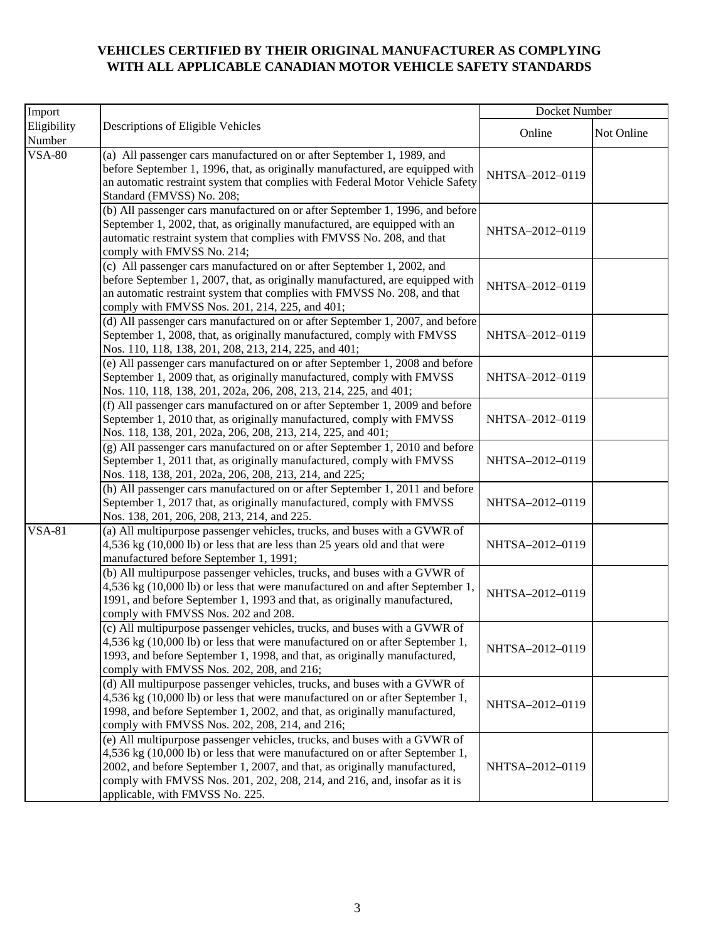## **VEHICLES CERTIFIED BY THEIR ORIGINAL MANUFACTURER AS COMPLYING WITH ALL APPLICABLE CANADIAN MOTOR VEHICLE SAFETY STANDARDS**

| Import                |                                                                                                                                                                                                                                                                                                                                                        | Docket Number   |            |
|-----------------------|--------------------------------------------------------------------------------------------------------------------------------------------------------------------------------------------------------------------------------------------------------------------------------------------------------------------------------------------------------|-----------------|------------|
| Eligibility<br>Number | Descriptions of Eligible Vehicles                                                                                                                                                                                                                                                                                                                      | Online          | Not Online |
| <b>VSA-80</b>         | (a) All passenger cars manufactured on or after September 1, 1989, and<br>before September 1, 1996, that, as originally manufactured, are equipped with<br>an automatic restraint system that complies with Federal Motor Vehicle Safety<br>Standard (FMVSS) No. 208;                                                                                  | NHTSA-2012-0119 |            |
|                       | (b) All passenger cars manufactured on or after September 1, 1996, and before<br>September 1, 2002, that, as originally manufactured, are equipped with an<br>automatic restraint system that complies with FMVSS No. 208, and that<br>comply with FMVSS No. 214;                                                                                      | NHTSA-2012-0119 |            |
|                       | (c) All passenger cars manufactured on or after September 1, 2002, and<br>before September 1, 2007, that, as originally manufactured, are equipped with<br>an automatic restraint system that complies with FMVSS No. 208, and that<br>comply with FMVSS Nos. 201, 214, 225, and 401;                                                                  | NHTSA-2012-0119 |            |
|                       | (d) All passenger cars manufactured on or after September 1, 2007, and before<br>September 1, 2008, that, as originally manufactured, comply with FMVSS<br>Nos. 110, 118, 138, 201, 208, 213, 214, 225, and 401;                                                                                                                                       | NHTSA-2012-0119 |            |
|                       | (e) All passenger cars manufactured on or after September 1, 2008 and before<br>September 1, 2009 that, as originally manufactured, comply with FMVSS<br>Nos. 110, 118, 138, 201, 202a, 206, 208, 213, 214, 225, and 401;                                                                                                                              | NHTSA-2012-0119 |            |
|                       | (f) All passenger cars manufactured on or after September 1, 2009 and before<br>September 1, 2010 that, as originally manufactured, comply with FMVSS<br>Nos. 118, 138, 201, 202a, 206, 208, 213, 214, 225, and 401;                                                                                                                                   | NHTSA-2012-0119 |            |
|                       | (g) All passenger cars manufactured on or after September 1, 2010 and before<br>September 1, 2011 that, as originally manufactured, comply with FMVSS<br>Nos. 118, 138, 201, 202a, 206, 208, 213, 214, and 225;                                                                                                                                        | NHTSA-2012-0119 |            |
|                       | (h) All passenger cars manufactured on or after September 1, 2011 and before<br>September 1, 2017 that, as originally manufactured, comply with FMVSS<br>Nos. 138, 201, 206, 208, 213, 214, and 225.                                                                                                                                                   | NHTSA-2012-0119 |            |
| <b>VSA-81</b>         | (a) All multipurpose passenger vehicles, trucks, and buses with a GVWR of<br>4,536 kg (10,000 lb) or less that are less than 25 years old and that were<br>manufactured before September 1, 1991;                                                                                                                                                      | NHTSA-2012-0119 |            |
|                       | (b) All multipurpose passenger vehicles, trucks, and buses with a GVWR of<br>4,536 kg (10,000 lb) or less that were manufactured on and after September 1,<br>1991, and before September 1, 1993 and that, as originally manufactured,<br>comply with FMVSS Nos. 202 and 208.                                                                          | NHTSA-2012-0119 |            |
|                       | (c) All multipurpose passenger vehicles, trucks, and buses with a GVWR of<br>4,536 kg (10,000 lb) or less that were manufactured on or after September 1,<br>1993, and before September 1, 1998, and that, as originally manufactured,<br>comply with FMVSS Nos. 202, 208, and 216;                                                                    | NHTSA-2012-0119 |            |
|                       | (d) All multipurpose passenger vehicles, trucks, and buses with a GVWR of<br>4,536 kg (10,000 lb) or less that were manufactured on or after September 1,<br>1998, and before September 1, 2002, and that, as originally manufactured,<br>comply with FMVSS Nos. 202, 208, 214, and 216;                                                               | NHTSA-2012-0119 |            |
|                       | (e) All multipurpose passenger vehicles, trucks, and buses with a GVWR of<br>4,536 kg (10,000 lb) or less that were manufactured on or after September 1,<br>2002, and before September 1, 2007, and that, as originally manufactured,<br>comply with FMVSS Nos. 201, 202, 208, 214, and 216, and, insofar as it is<br>applicable, with FMVSS No. 225. | NHTSA-2012-0119 |            |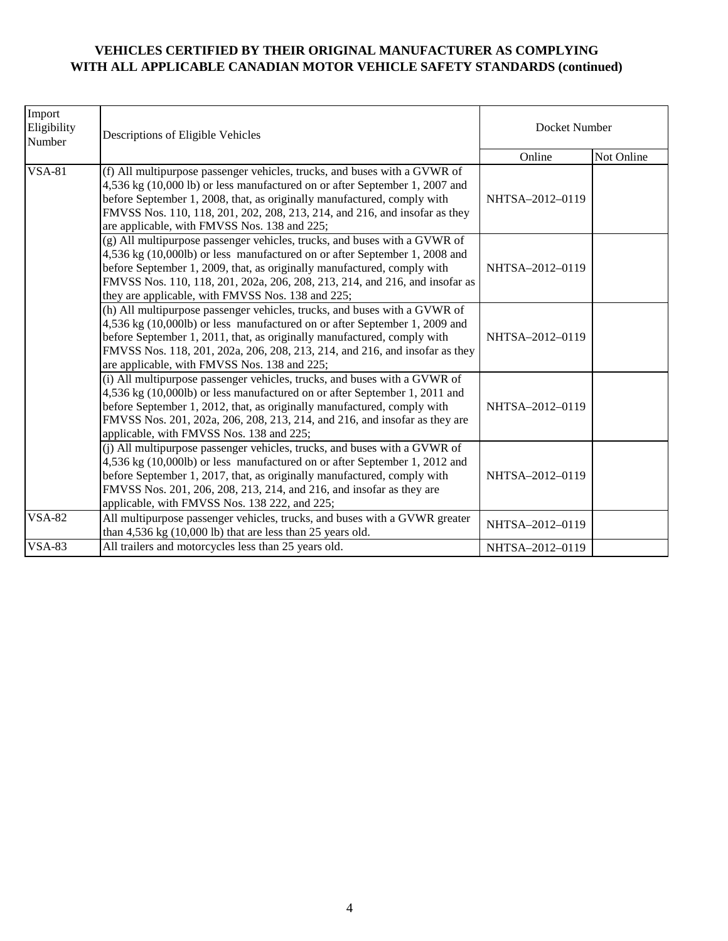## **VEHICLES CERTIFIED BY THEIR ORIGINAL MANUFACTURER AS COMPLYING WITH ALL APPLICABLE CANADIAN MOTOR VEHICLE SAFETY STANDARDS (continued)**

| Import<br>Eligibility<br>Number | Descriptions of Eligible Vehicles                                                                                                                                                                                                                                                                                                                                      | Docket Number   |            |  |
|---------------------------------|------------------------------------------------------------------------------------------------------------------------------------------------------------------------------------------------------------------------------------------------------------------------------------------------------------------------------------------------------------------------|-----------------|------------|--|
|                                 |                                                                                                                                                                                                                                                                                                                                                                        | Online          | Not Online |  |
| <b>VSA-81</b>                   | (f) All multipurpose passenger vehicles, trucks, and buses with a GVWR of<br>4,536 kg (10,000 lb) or less manufactured on or after September 1, 2007 and<br>before September 1, 2008, that, as originally manufactured, comply with<br>FMVSS Nos. 110, 118, 201, 202, 208, 213, 214, and 216, and insofar as they<br>are applicable, with FMVSS Nos. 138 and 225;      | NHTSA-2012-0119 |            |  |
|                                 | (g) All multipurpose passenger vehicles, trucks, and buses with a GVWR of<br>4,536 kg (10,000lb) or less manufactured on or after September 1, 2008 and<br>before September 1, 2009, that, as originally manufactured, comply with<br>FMVSS Nos. 110, 118, 201, 202a, 206, 208, 213, 214, and 216, and insofar as<br>they are applicable, with FMVSS Nos. 138 and 225; | NHTSA-2012-0119 |            |  |
|                                 | (h) All multipurpose passenger vehicles, trucks, and buses with a GVWR of<br>4,536 kg (10,000lb) or less manufactured on or after September 1, 2009 and<br>before September 1, 2011, that, as originally manufactured, comply with<br>FMVSS Nos. 118, 201, 202a, 206, 208, 213, 214, and 216, and insofar as they<br>are applicable, with FMVSS Nos. 138 and 225;      | NHTSA-2012-0119 |            |  |
|                                 | (i) All multipurpose passenger vehicles, trucks, and buses with a GVWR of<br>4,536 kg (10,000lb) or less manufactured on or after September 1, 2011 and<br>before September 1, 2012, that, as originally manufactured, comply with<br>FMVSS Nos. 201, 202a, 206, 208, 213, 214, and 216, and insofar as they are<br>applicable, with FMVSS Nos. 138 and 225;           | NHTSA-2012-0119 |            |  |
|                                 | (i) All multipurpose passenger vehicles, trucks, and buses with a GVWR of<br>4,536 kg (10,000lb) or less manufactured on or after September 1, 2012 and<br>before September 1, 2017, that, as originally manufactured, comply with<br>FMVSS Nos. 201, 206, 208, 213, 214, and 216, and insofar as they are<br>applicable, with FMVSS Nos. 138 222, and 225;            | NHTSA-2012-0119 |            |  |
| <b>VSA-82</b>                   | All multipurpose passenger vehicles, trucks, and buses with a GVWR greater<br>than $4,536$ kg $(10,000$ lb) that are less than $25$ years old.                                                                                                                                                                                                                         | NHTSA-2012-0119 |            |  |
| <b>VSA-83</b>                   | All trailers and motorcycles less than 25 years old.                                                                                                                                                                                                                                                                                                                   | NHTSA-2012-0119 |            |  |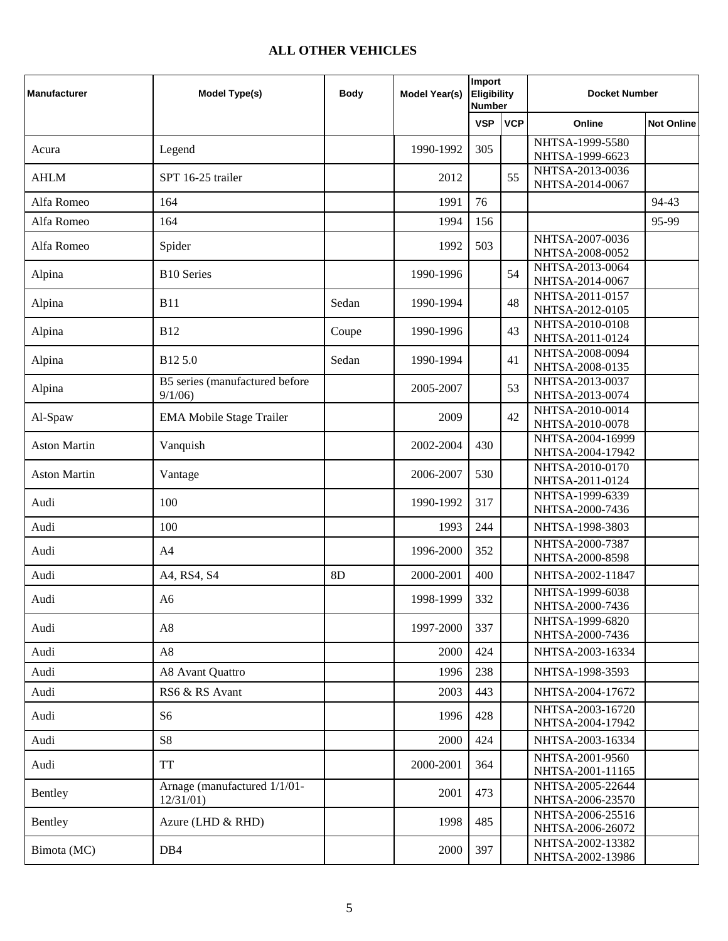## **ALL OTHER VEHICLES**

| <b>Manufacturer</b> | <b>Model Type(s)</b>                     | <b>Body</b> | Model Year(s) | Import<br><b>Eligibility</b><br><b>Number</b> |            | <b>Docket Number</b>                 |                   |
|---------------------|------------------------------------------|-------------|---------------|-----------------------------------------------|------------|--------------------------------------|-------------------|
|                     |                                          |             |               | <b>VSP</b>                                    | <b>VCP</b> | Online                               | <b>Not Online</b> |
| Acura               | Legend                                   |             | 1990-1992     | 305                                           |            | NHTSA-1999-5580                      |                   |
|                     |                                          |             |               |                                               |            | NHTSA-1999-6623<br>NHTSA-2013-0036   |                   |
| <b>AHLM</b>         | SPT 16-25 trailer                        |             | 2012          |                                               | 55         | NHTSA-2014-0067                      |                   |
| Alfa Romeo          | 164                                      |             | 1991          | 76                                            |            |                                      | 94-43             |
| Alfa Romeo          | 164                                      |             | 1994          | 156                                           |            |                                      | 95-99             |
| Alfa Romeo          | Spider                                   |             | 1992          | 503                                           |            | NHTSA-2007-0036<br>NHTSA-2008-0052   |                   |
| Alpina              | <b>B10 Series</b>                        |             | 1990-1996     |                                               | 54         | NHTSA-2013-0064<br>NHTSA-2014-0067   |                   |
| Alpina              | <b>B11</b>                               | Sedan       | 1990-1994     |                                               | 48         | NHTSA-2011-0157<br>NHTSA-2012-0105   |                   |
| Alpina              | <b>B12</b>                               | Coupe       | 1990-1996     |                                               | 43         | NHTSA-2010-0108                      |                   |
|                     |                                          |             |               |                                               |            | NHTSA-2011-0124<br>NHTSA-2008-0094   |                   |
| Alpina              | B125.0                                   | Sedan       | 1990-1994     |                                               | 41         | NHTSA-2008-0135                      |                   |
| Alpina              | B5 series (manufactured before<br>9/1/06 |             | 2005-2007     |                                               | 53         | NHTSA-2013-0037<br>NHTSA-2013-0074   |                   |
| Al-Spaw             | <b>EMA Mobile Stage Trailer</b>          |             | 2009          |                                               | 42         | NHTSA-2010-0014<br>NHTSA-2010-0078   |                   |
| <b>Aston Martin</b> | Vanquish                                 |             | 2002-2004     | 430                                           |            | NHTSA-2004-16999<br>NHTSA-2004-17942 |                   |
| <b>Aston Martin</b> | Vantage                                  |             | 2006-2007     | 530                                           |            | NHTSA-2010-0170<br>NHTSA-2011-0124   |                   |
| Audi                | 100                                      |             | 1990-1992     | 317                                           |            | NHTSA-1999-6339<br>NHTSA-2000-7436   |                   |
| Audi                | 100                                      |             | 1993          | 244                                           |            | NHTSA-1998-3803                      |                   |
| Audi                | A <sub>4</sub>                           |             | 1996-2000     | 352                                           |            | NHTSA-2000-7387<br>NHTSA-2000-8598   |                   |
| Audi                | A4, RS4, S4                              | 8D          | 2000-2001     | 400                                           |            | NHTSA-2002-11847                     |                   |
| Audi                | A <sub>6</sub>                           |             | 1998-1999     | 332                                           |            | NHTSA-1999-6038<br>NHTSA-2000-7436   |                   |
| Audi                | A8                                       |             | 1997-2000     | 337                                           |            | NHTSA-1999-6820<br>NHTSA-2000-7436   |                   |
| Audi                | A8                                       |             | 2000          | 424                                           |            | NHTSA-2003-16334                     |                   |
| Audi                | A8 Avant Quattro                         |             | 1996          | 238                                           |            | NHTSA-1998-3593                      |                   |
| Audi                | RS6 & RS Avant                           |             | 2003          | 443                                           |            | NHTSA-2004-17672                     |                   |
| Audi                | S <sub>6</sub>                           |             | 1996          | 428                                           |            | NHTSA-2003-16720<br>NHTSA-2004-17942 |                   |
| Audi                | S8                                       |             | 2000          | 424                                           |            | NHTSA-2003-16334                     |                   |
| Audi                | <b>TT</b>                                |             | 2000-2001     | 364                                           |            | NHTSA-2001-9560<br>NHTSA-2001-11165  |                   |
| Bentley             | Arnage (manufactured 1/1/01-<br>12/31/01 |             | 2001          | 473                                           |            | NHTSA-2005-22644<br>NHTSA-2006-23570 |                   |
| Bentley             | Azure (LHD & RHD)                        |             | 1998          | 485                                           |            | NHTSA-2006-25516<br>NHTSA-2006-26072 |                   |
| Bimota (MC)         | DB <sub>4</sub>                          |             | 2000          | 397                                           |            | NHTSA-2002-13382<br>NHTSA-2002-13986 |                   |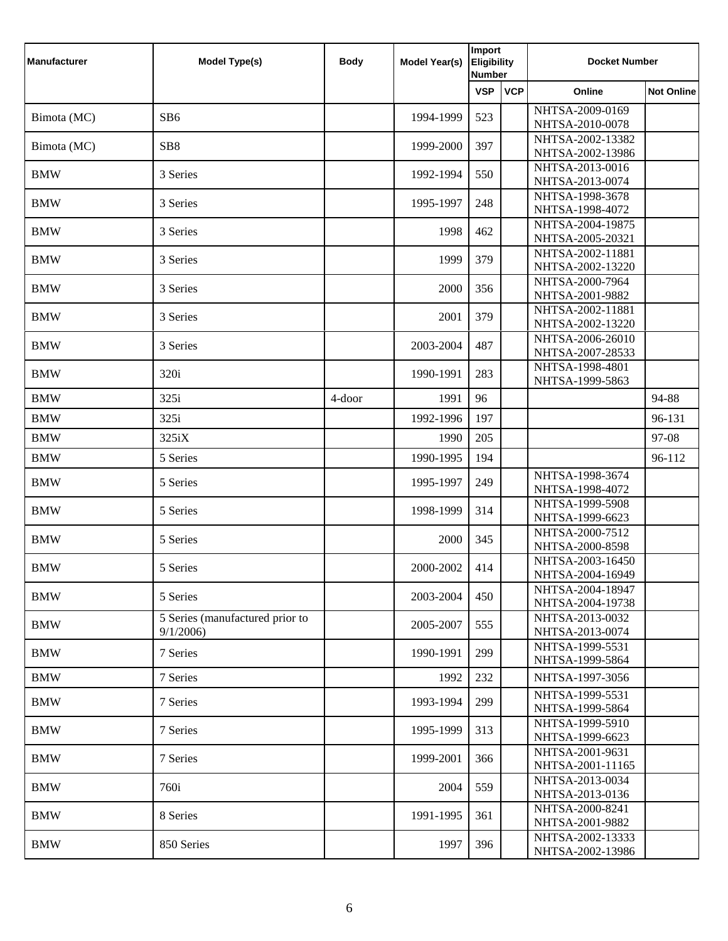| <b>Manufacturer</b> | <b>Model Type(s)</b>                        | <b>Body</b> | Model Year(s) | Import<br><b>Eligibility</b><br><b>Number</b> |            | <b>Docket Number</b>                 |                   |
|---------------------|---------------------------------------------|-------------|---------------|-----------------------------------------------|------------|--------------------------------------|-------------------|
|                     |                                             |             |               | <b>VSP</b>                                    | <b>VCP</b> | Online                               | <b>Not Online</b> |
| Bimota (MC)         | SB <sub>6</sub>                             |             | 1994-1999     | 523                                           |            | NHTSA-2009-0169<br>NHTSA-2010-0078   |                   |
| Bimota (MC)         | SB <sub>8</sub>                             |             | 1999-2000     | 397                                           |            | NHTSA-2002-13382                     |                   |
|                     |                                             |             |               |                                               |            | NHTSA-2002-13986                     |                   |
| <b>BMW</b>          | 3 Series                                    |             | 1992-1994     | 550                                           |            | NHTSA-2013-0016<br>NHTSA-2013-0074   |                   |
| <b>BMW</b>          | 3 Series                                    |             | 1995-1997     | 248                                           |            | NHTSA-1998-3678<br>NHTSA-1998-4072   |                   |
| <b>BMW</b>          | 3 Series                                    |             | 1998          | 462                                           |            | NHTSA-2004-19875<br>NHTSA-2005-20321 |                   |
| <b>BMW</b>          | 3 Series                                    |             | 1999          | 379                                           |            | NHTSA-2002-11881<br>NHTSA-2002-13220 |                   |
| <b>BMW</b>          | 3 Series                                    |             | 2000          | 356                                           |            | NHTSA-2000-7964<br>NHTSA-2001-9882   |                   |
| <b>BMW</b>          | 3 Series                                    |             | 2001          | 379                                           |            | NHTSA-2002-11881<br>NHTSA-2002-13220 |                   |
| <b>BMW</b>          | 3 Series                                    |             | 2003-2004     | 487                                           |            | NHTSA-2006-26010<br>NHTSA-2007-28533 |                   |
| <b>BMW</b>          | 320i                                        |             | 1990-1991     | 283                                           |            | NHTSA-1998-4801<br>NHTSA-1999-5863   |                   |
| <b>BMW</b>          | 325i                                        | 4-door      | 1991          | 96                                            |            |                                      | 94-88             |
| <b>BMW</b>          | 325i                                        |             | 1992-1996     | 197                                           |            |                                      | 96-131            |
| <b>BMW</b>          | 325iX                                       |             | 1990          | 205                                           |            |                                      | 97-08             |
| <b>BMW</b>          | 5 Series                                    |             | 1990-1995     | 194                                           |            |                                      | 96-112            |
| <b>BMW</b>          | 5 Series                                    |             | 1995-1997     | 249                                           |            | NHTSA-1998-3674<br>NHTSA-1998-4072   |                   |
| <b>BMW</b>          | 5 Series                                    |             | 1998-1999     | 314                                           |            | NHTSA-1999-5908<br>NHTSA-1999-6623   |                   |
| <b>BMW</b>          | 5 Series                                    |             | 2000          | 345                                           |            | NHTSA-2000-7512<br>NHTSA-2000-8598   |                   |
| <b>BMW</b>          | 5 Series                                    |             | 2000-2002     | 414                                           |            | NHTSA-2003-16450<br>NHTSA-2004-16949 |                   |
| <b>BMW</b>          | 5 Series                                    |             | 2003-2004     | 450                                           |            | NHTSA-2004-18947<br>NHTSA-2004-19738 |                   |
| <b>BMW</b>          | 5 Series (manufactured prior to<br>9/1/2006 |             | 2005-2007     | 555                                           |            | NHTSA-2013-0032<br>NHTSA-2013-0074   |                   |
| <b>BMW</b>          | 7 Series                                    |             | 1990-1991     | 299                                           |            | NHTSA-1999-5531<br>NHTSA-1999-5864   |                   |
| <b>BMW</b>          | 7 Series                                    |             | 1992          | 232                                           |            | NHTSA-1997-3056                      |                   |
| <b>BMW</b>          | 7 Series                                    |             | 1993-1994     | 299                                           |            | NHTSA-1999-5531<br>NHTSA-1999-5864   |                   |
| <b>BMW</b>          | 7 Series                                    |             | 1995-1999     | 313                                           |            | NHTSA-1999-5910<br>NHTSA-1999-6623   |                   |
| <b>BMW</b>          | 7 Series                                    |             | 1999-2001     | 366                                           |            | NHTSA-2001-9631<br>NHTSA-2001-11165  |                   |
| <b>BMW</b>          | 760i                                        |             | 2004          | 559                                           |            | NHTSA-2013-0034<br>NHTSA-2013-0136   |                   |
| <b>BMW</b>          | 8 Series                                    |             | 1991-1995     | 361                                           |            | NHTSA-2000-8241<br>NHTSA-2001-9882   |                   |
| <b>BMW</b>          | 850 Series                                  |             | 1997          | 396                                           |            | NHTSA-2002-13333<br>NHTSA-2002-13986 |                   |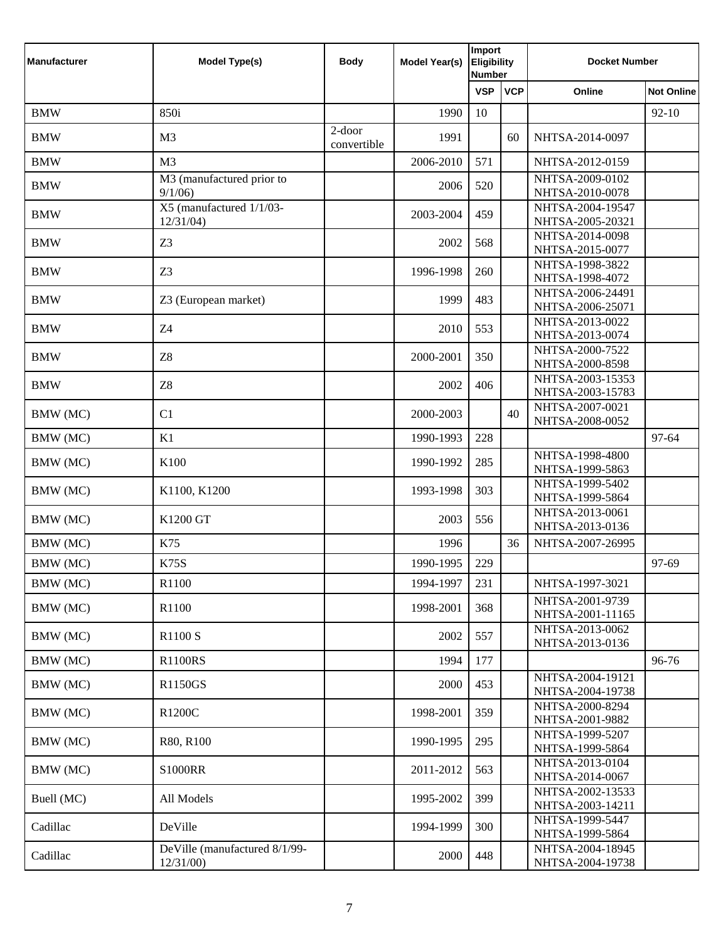| <b>Manufacturer</b> | <b>Model Type(s)</b>                       | <b>Body</b>              | Model Year(s) | Import<br><b>Eligibility</b><br><b>Number</b> |            | <b>Docket Number</b>                 |                   |
|---------------------|--------------------------------------------|--------------------------|---------------|-----------------------------------------------|------------|--------------------------------------|-------------------|
|                     |                                            |                          |               | <b>VSP</b>                                    | <b>VCP</b> | Online                               | <b>Not Online</b> |
| <b>BMW</b>          | 850i                                       |                          | 1990          | 10                                            |            |                                      | $92-10$           |
| <b>BMW</b>          | M <sub>3</sub>                             | $2$ -door<br>convertible | 1991          |                                               | 60         | NHTSA-2014-0097                      |                   |
| <b>BMW</b>          | M <sub>3</sub>                             |                          | 2006-2010     | 571                                           |            | NHTSA-2012-0159                      |                   |
| <b>BMW</b>          | M3 (manufactured prior to<br>9/1/06        |                          | 2006          | 520                                           |            | NHTSA-2009-0102<br>NHTSA-2010-0078   |                   |
| <b>BMW</b>          | X5 (manufactured 1/1/03-<br>12/31/04       |                          | 2003-2004     | 459                                           |            | NHTSA-2004-19547<br>NHTSA-2005-20321 |                   |
| <b>BMW</b>          | Z <sub>3</sub>                             |                          | 2002          | 568                                           |            | NHTSA-2014-0098<br>NHTSA-2015-0077   |                   |
| <b>BMW</b>          | Z <sub>3</sub>                             |                          | 1996-1998     | 260                                           |            | NHTSA-1998-3822<br>NHTSA-1998-4072   |                   |
| <b>BMW</b>          | Z3 (European market)                       |                          | 1999          | 483                                           |            | NHTSA-2006-24491<br>NHTSA-2006-25071 |                   |
| <b>BMW</b>          | Z4                                         |                          | 2010          | 553                                           |            | NHTSA-2013-0022<br>NHTSA-2013-0074   |                   |
| <b>BMW</b>          | Z8                                         |                          | 2000-2001     | 350                                           |            | NHTSA-2000-7522<br>NHTSA-2000-8598   |                   |
| <b>BMW</b>          | Z8                                         |                          | 2002          | 406                                           |            | NHTSA-2003-15353<br>NHTSA-2003-15783 |                   |
| BMW (MC)            | C1                                         |                          | 2000-2003     |                                               | 40         | NHTSA-2007-0021<br>NHTSA-2008-0052   |                   |
| BMW (MC)            | K1                                         |                          | 1990-1993     | 228                                           |            |                                      | 97-64             |
| BMW (MC)            | K100                                       |                          | 1990-1992     | 285                                           |            | NHTSA-1998-4800<br>NHTSA-1999-5863   |                   |
| BMW (MC)            | K1100, K1200                               |                          | 1993-1998     | 303                                           |            | NHTSA-1999-5402<br>NHTSA-1999-5864   |                   |
| BMW (MC)            | K1200 GT                                   |                          | 2003          | 556                                           |            | NHTSA-2013-0061<br>NHTSA-2013-0136   |                   |
| BMW (MC)            | K75                                        |                          | 1996          |                                               | 36         | NHTSA-2007-26995                     |                   |
| BMW (MC)            | <b>K75S</b>                                |                          | 1990-1995     | 229                                           |            |                                      | 97-69             |
| BMW (MC)            | R1100                                      |                          | 1994-1997     | 231                                           |            | NHTSA-1997-3021                      |                   |
| BMW (MC)            | R1100                                      |                          | 1998-2001     | 368                                           |            | NHTSA-2001-9739<br>NHTSA-2001-11165  |                   |
| BMW (MC)            | R1100 S                                    |                          | 2002          | 557                                           |            | NHTSA-2013-0062<br>NHTSA-2013-0136   |                   |
| BMW (MC)            | <b>R1100RS</b>                             |                          | 1994          | 177                                           |            |                                      | 96-76             |
| BMW (MC)            | R1150GS                                    |                          | 2000          | 453                                           |            | NHTSA-2004-19121<br>NHTSA-2004-19738 |                   |
| BMW (MC)            | R1200C                                     |                          | 1998-2001     | 359                                           |            | NHTSA-2000-8294<br>NHTSA-2001-9882   |                   |
| BMW (MC)            | R80, R100                                  |                          | 1990-1995     | 295                                           |            | NHTSA-1999-5207<br>NHTSA-1999-5864   |                   |
| BMW (MC)            | <b>S1000RR</b>                             |                          | 2011-2012     | 563                                           |            | NHTSA-2013-0104<br>NHTSA-2014-0067   |                   |
| Buell (MC)          | All Models                                 |                          | 1995-2002     | 399                                           |            | NHTSA-2002-13533<br>NHTSA-2003-14211 |                   |
| Cadillac            | DeVille                                    |                          | 1994-1999     | 300                                           |            | NHTSA-1999-5447<br>NHTSA-1999-5864   |                   |
| Cadillac            | DeVille (manufactured 8/1/99-<br>12/31/00) |                          | 2000          | 448                                           |            | NHTSA-2004-18945<br>NHTSA-2004-19738 |                   |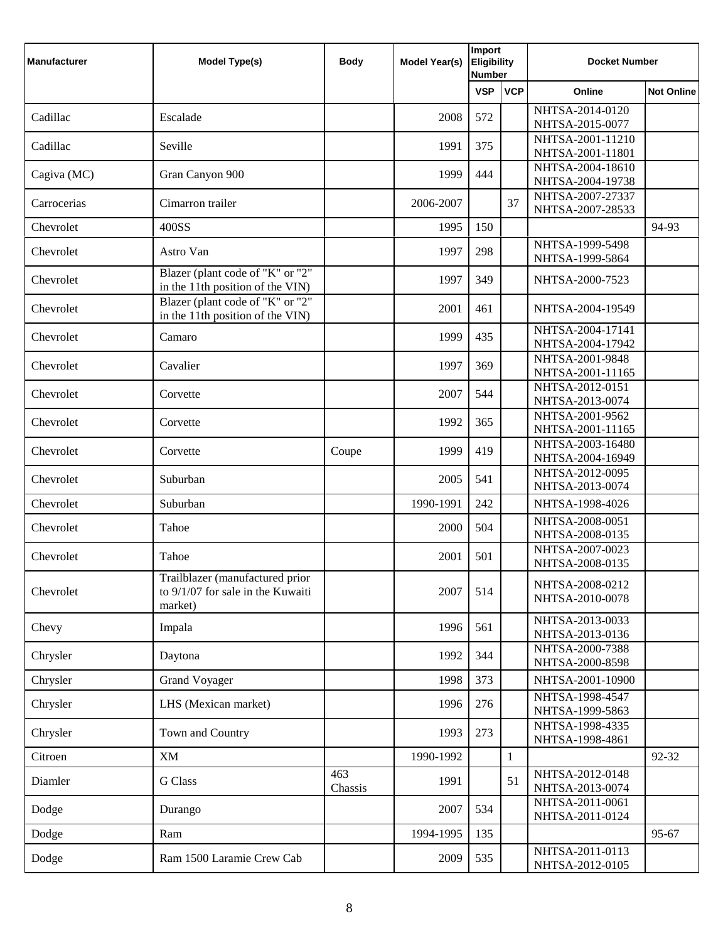| <b>Manufacturer</b> | Model Type(s)                                                                   | <b>Body</b>    | <b>Model Year(s)</b> | Import<br><b>Eligibility</b><br><b>Number</b> |              | <b>Docket Number</b>                 |                   |
|---------------------|---------------------------------------------------------------------------------|----------------|----------------------|-----------------------------------------------|--------------|--------------------------------------|-------------------|
|                     |                                                                                 |                |                      | <b>VSP</b>                                    | <b>VCP</b>   | Online                               | <b>Not Online</b> |
| Cadillac            | Escalade                                                                        |                | 2008                 | 572                                           |              | NHTSA-2014-0120<br>NHTSA-2015-0077   |                   |
| Cadillac            | Seville                                                                         |                | 1991                 | 375                                           |              | NHTSA-2001-11210                     |                   |
|                     |                                                                                 |                |                      |                                               |              | NHTSA-2001-11801                     |                   |
| Cagiva (MC)         | Gran Canyon 900                                                                 |                | 1999                 | 444                                           |              | NHTSA-2004-18610<br>NHTSA-2004-19738 |                   |
| Carrocerias         | Cimarron trailer                                                                |                | 2006-2007            |                                               | 37           | NHTSA-2007-27337<br>NHTSA-2007-28533 |                   |
| Chevrolet           | 400SS                                                                           |                | 1995                 | 150                                           |              |                                      | 94-93             |
| Chevrolet           | Astro Van                                                                       |                | 1997                 | 298                                           |              | NHTSA-1999-5498<br>NHTSA-1999-5864   |                   |
| Chevrolet           | Blazer (plant code of "K" or "2"<br>in the 11th position of the VIN)            |                | 1997                 | 349                                           |              | NHTSA-2000-7523                      |                   |
| Chevrolet           | Blazer (plant code of "K" or "2"<br>in the 11th position of the VIN)            |                | 2001                 | 461                                           |              | NHTSA-2004-19549                     |                   |
| Chevrolet           | Camaro                                                                          |                | 1999                 | 435                                           |              | NHTSA-2004-17141<br>NHTSA-2004-17942 |                   |
| Chevrolet           | Cavalier                                                                        |                | 1997                 | 369                                           |              | NHTSA-2001-9848<br>NHTSA-2001-11165  |                   |
| Chevrolet           | Corvette                                                                        |                | 2007                 | 544                                           |              | NHTSA-2012-0151<br>NHTSA-2013-0074   |                   |
| Chevrolet           | Corvette                                                                        |                | 1992                 | 365                                           |              | NHTSA-2001-9562<br>NHTSA-2001-11165  |                   |
| Chevrolet           | Corvette                                                                        | Coupe          | 1999                 | 419                                           |              | NHTSA-2003-16480<br>NHTSA-2004-16949 |                   |
| Chevrolet           | Suburban                                                                        |                | 2005                 | 541                                           |              | NHTSA-2012-0095<br>NHTSA-2013-0074   |                   |
| Chevrolet           | Suburban                                                                        |                | 1990-1991            | 242                                           |              | NHTSA-1998-4026                      |                   |
| Chevrolet           | Tahoe                                                                           |                | 2000                 | 504                                           |              | NHTSA-2008-0051<br>NHTSA-2008-0135   |                   |
| Chevrolet           | Tahoe                                                                           |                | 2001                 | 501                                           |              | NHTSA-2007-0023<br>NHTSA-2008-0135   |                   |
| Chevrolet           | Trailblazer (manufactured prior<br>to 9/1/07 for sale in the Kuwaiti<br>market) |                | 2007                 | 514                                           |              | NHTSA-2008-0212<br>NHTSA-2010-0078   |                   |
| Chevy               | Impala                                                                          |                | 1996                 | 561                                           |              | NHTSA-2013-0033<br>NHTSA-2013-0136   |                   |
| Chrysler            | Daytona                                                                         |                | 1992                 | 344                                           |              | NHTSA-2000-7388<br>NHTSA-2000-8598   |                   |
| Chrysler            | <b>Grand Voyager</b>                                                            |                | 1998                 | 373                                           |              | NHTSA-2001-10900                     |                   |
| Chrysler            | LHS (Mexican market)                                                            |                | 1996                 | 276                                           |              | NHTSA-1998-4547<br>NHTSA-1999-5863   |                   |
| Chrysler            | Town and Country                                                                |                | 1993                 | 273                                           |              | NHTSA-1998-4335<br>NHTSA-1998-4861   |                   |
| Citroen             | <b>XM</b>                                                                       |                | 1990-1992            |                                               | $\mathbf{1}$ |                                      | 92-32             |
| Diamler             | <b>G</b> Class                                                                  | 463<br>Chassis | 1991                 |                                               | 51           | NHTSA-2012-0148<br>NHTSA-2013-0074   |                   |
| Dodge               | Durango                                                                         |                | 2007                 | 534                                           |              | NHTSA-2011-0061<br>NHTSA-2011-0124   |                   |
| Dodge               | Ram                                                                             |                | 1994-1995            | 135                                           |              |                                      | 95-67             |
| Dodge               | Ram 1500 Laramie Crew Cab                                                       |                | 2009                 | 535                                           |              | NHTSA-2011-0113<br>NHTSA-2012-0105   |                   |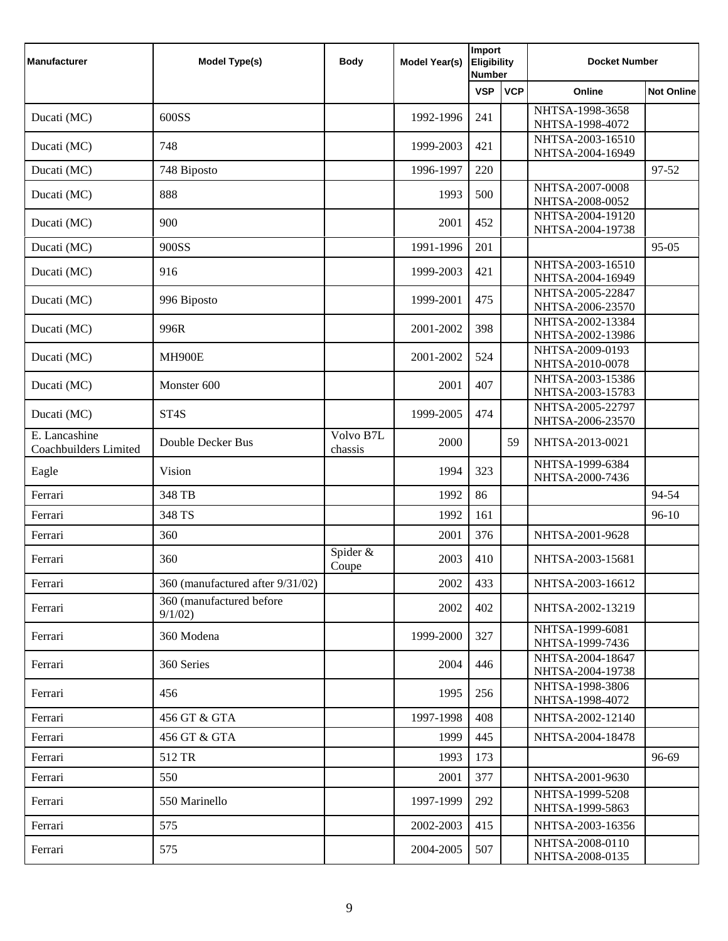| <b>Manufacturer</b>                    | <b>Model Type(s)</b>               | <b>Body</b>          | <b>Model Year(s)</b> | Import<br><b>Eligibility</b><br><b>Number</b> |            | <b>Docket Number</b>                 |                   |
|----------------------------------------|------------------------------------|----------------------|----------------------|-----------------------------------------------|------------|--------------------------------------|-------------------|
|                                        |                                    |                      |                      | <b>VSP</b>                                    | <b>VCP</b> | Online                               | <b>Not Online</b> |
| Ducati (MC)                            | 600SS                              |                      | 1992-1996            | 241                                           |            | NHTSA-1998-3658<br>NHTSA-1998-4072   |                   |
|                                        |                                    |                      |                      |                                               |            | NHTSA-2003-16510                     |                   |
| Ducati (MC)                            | 748                                |                      | 1999-2003            | 421                                           |            | NHTSA-2004-16949                     |                   |
| Ducati (MC)                            | 748 Biposto                        |                      | 1996-1997            | 220                                           |            |                                      | 97-52             |
| Ducati (MC)                            | 888                                |                      | 1993                 | 500                                           |            | NHTSA-2007-0008<br>NHTSA-2008-0052   |                   |
| Ducati (MC)                            | 900                                |                      | 2001                 | 452                                           |            | NHTSA-2004-19120<br>NHTSA-2004-19738 |                   |
| Ducati (MC)                            | 900SS                              |                      | 1991-1996            | 201                                           |            |                                      | 95-05             |
| Ducati (MC)                            | 916                                |                      | 1999-2003            | 421                                           |            | NHTSA-2003-16510<br>NHTSA-2004-16949 |                   |
| Ducati (MC)                            | 996 Biposto                        |                      | 1999-2001            | 475                                           |            | NHTSA-2005-22847<br>NHTSA-2006-23570 |                   |
| Ducati (MC)                            | 996R                               |                      | 2001-2002            | 398                                           |            | NHTSA-2002-13384<br>NHTSA-2002-13986 |                   |
| Ducati (MC)                            | <b>MH900E</b>                      |                      | 2001-2002            | 524                                           |            | NHTSA-2009-0193<br>NHTSA-2010-0078   |                   |
| Ducati (MC)                            | Monster 600                        |                      | 2001                 | 407                                           |            | NHTSA-2003-15386<br>NHTSA-2003-15783 |                   |
| Ducati (MC)                            | ST <sub>4</sub> S                  |                      | 1999-2005            | 474                                           |            | NHTSA-2005-22797<br>NHTSA-2006-23570 |                   |
| E. Lancashine<br>Coachbuilders Limited | Double Decker Bus                  | Volvo B7L<br>chassis | 2000                 |                                               | 59         | NHTSA-2013-0021                      |                   |
| Eagle                                  | Vision                             |                      | 1994                 | 323                                           |            | NHTSA-1999-6384<br>NHTSA-2000-7436   |                   |
| Ferrari                                | 348 TB                             |                      | 1992                 | 86                                            |            |                                      | 94-54             |
| Ferrari                                | 348 TS                             |                      | 1992                 | 161                                           |            |                                      | $96-10$           |
| Ferrari                                | 360                                |                      | 2001                 | 376                                           |            | NHTSA-2001-9628                      |                   |
| Ferrari                                | 360                                | Spider &<br>Coupe    | 2003                 | 410                                           |            | NHTSA-2003-15681                     |                   |
| Ferrari                                | 360 (manufactured after 9/31/02)   |                      | 2002                 | 433                                           |            | NHTSA-2003-16612                     |                   |
| Ferrari                                | 360 (manufactured before<br>9/1/02 |                      | 2002                 | 402                                           |            | NHTSA-2002-13219                     |                   |
| Ferrari                                | 360 Modena                         |                      | 1999-2000            | 327                                           |            | NHTSA-1999-6081<br>NHTSA-1999-7436   |                   |
| Ferrari                                | 360 Series                         |                      | 2004                 | 446                                           |            | NHTSA-2004-18647<br>NHTSA-2004-19738 |                   |
| Ferrari                                | 456                                |                      | 1995                 | 256                                           |            | NHTSA-1998-3806<br>NHTSA-1998-4072   |                   |
| Ferrari                                | 456 GT & GTA                       |                      | 1997-1998            | 408                                           |            | NHTSA-2002-12140                     |                   |
| Ferrari                                | 456 GT & GTA                       |                      | 1999                 | 445                                           |            | NHTSA-2004-18478                     |                   |
| Ferrari                                | 512 TR                             |                      | 1993                 | 173                                           |            |                                      | 96-69             |
| Ferrari                                | 550                                |                      | 2001                 | 377                                           |            | NHTSA-2001-9630                      |                   |
| Ferrari                                | 550 Marinello                      |                      | 1997-1999            | 292                                           |            | NHTSA-1999-5208<br>NHTSA-1999-5863   |                   |
| Ferrari                                | 575                                |                      | 2002-2003            | 415                                           |            | NHTSA-2003-16356                     |                   |
| Ferrari                                | 575                                |                      | 2004-2005            | 507                                           |            | NHTSA-2008-0110<br>NHTSA-2008-0135   |                   |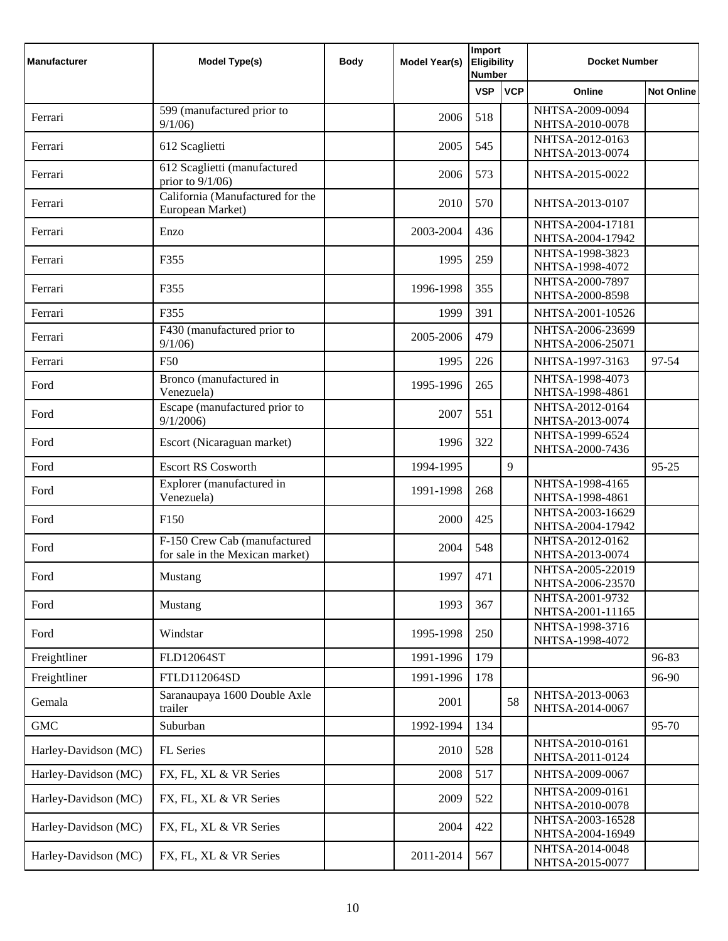| <b>Manufacturer</b>  | Model Type(s)                                                   | <b>Body</b> | <b>Model Year(s)</b> | Import<br><b>Eligibility</b><br><b>Number</b> |            | <b>Docket Number</b>                 |                   |
|----------------------|-----------------------------------------------------------------|-------------|----------------------|-----------------------------------------------|------------|--------------------------------------|-------------------|
|                      |                                                                 |             |                      | <b>VSP</b>                                    | <b>VCP</b> | Online                               | <b>Not Online</b> |
| Ferrari              | 599 (manufactured prior to                                      |             | 2006                 | 518                                           |            | NHTSA-2009-0094                      |                   |
|                      | 9/1/06                                                          |             |                      |                                               |            | NHTSA-2010-0078<br>NHTSA-2012-0163   |                   |
| Ferrari              | 612 Scaglietti                                                  |             | 2005                 | 545                                           |            | NHTSA-2013-0074                      |                   |
| Ferrari              | 612 Scaglietti (manufactured<br>prior to $9/1/06$ )             |             | 2006                 | 573                                           |            | NHTSA-2015-0022                      |                   |
| Ferrari              | California (Manufactured for the<br>European Market)            |             | 2010                 | 570                                           |            | NHTSA-2013-0107                      |                   |
| Ferrari              | Enzo                                                            |             | 2003-2004            | 436                                           |            | NHTSA-2004-17181<br>NHTSA-2004-17942 |                   |
| Ferrari              | F355                                                            |             | 1995                 | 259                                           |            | NHTSA-1998-3823<br>NHTSA-1998-4072   |                   |
| Ferrari              | F355                                                            |             | 1996-1998            | 355                                           |            | NHTSA-2000-7897<br>NHTSA-2000-8598   |                   |
| Ferrari              | F355                                                            |             | 1999                 | 391                                           |            | NHTSA-2001-10526                     |                   |
| Ferrari              | F430 (manufactured prior to<br>9/1/06                           |             | 2005-2006            | 479                                           |            | NHTSA-2006-23699<br>NHTSA-2006-25071 |                   |
| Ferrari              | F50                                                             |             | 1995                 | 226                                           |            | NHTSA-1997-3163                      | 97-54             |
| Ford                 | Bronco (manufactured in<br>Venezuela)                           |             | 1995-1996            | 265                                           |            | NHTSA-1998-4073<br>NHTSA-1998-4861   |                   |
| Ford                 | Escape (manufactured prior to<br>9/1/2006                       |             | 2007                 | 551                                           |            | NHTSA-2012-0164<br>NHTSA-2013-0074   |                   |
| Ford                 | Escort (Nicaraguan market)                                      |             | 1996                 | 322                                           |            | NHTSA-1999-6524<br>NHTSA-2000-7436   |                   |
| Ford                 | <b>Escort RS Cosworth</b>                                       |             | 1994-1995            |                                               | 9          |                                      | 95-25             |
| Ford                 | Explorer (manufactured in<br>Venezuela)                         |             | 1991-1998            | 268                                           |            | NHTSA-1998-4165<br>NHTSA-1998-4861   |                   |
| Ford                 | F <sub>150</sub>                                                |             | 2000                 | 425                                           |            | NHTSA-2003-16629<br>NHTSA-2004-17942 |                   |
| Ford                 | F-150 Crew Cab (manufactured<br>for sale in the Mexican market) |             | 2004                 | 548                                           |            | NHTSA-2012-0162<br>NHTSA-2013-0074   |                   |
| Ford                 | Mustang                                                         |             | 1997                 | 471                                           |            | NHTSA-2005-22019<br>NHTSA-2006-23570 |                   |
| Ford                 | Mustang                                                         |             | 1993                 | 367                                           |            | NHTSA-2001-9732<br>NHTSA-2001-11165  |                   |
| Ford                 | Windstar                                                        |             | 1995-1998            | 250                                           |            | NHTSA-1998-3716<br>NHTSA-1998-4072   |                   |
| Freightliner         | FLD12064ST                                                      |             | 1991-1996            | 179                                           |            |                                      | 96-83             |
| Freightliner         | FTLD112064SD                                                    |             | 1991-1996            | 178                                           |            |                                      | 96-90             |
| Gemala               | Saranaupaya 1600 Double Axle<br>trailer                         |             | 2001                 |                                               | 58         | NHTSA-2013-0063<br>NHTSA-2014-0067   |                   |
| <b>GMC</b>           | Suburban                                                        |             | 1992-1994            | 134                                           |            |                                      | 95-70             |
| Harley-Davidson (MC) | FL Series                                                       |             | 2010                 | 528                                           |            | NHTSA-2010-0161<br>NHTSA-2011-0124   |                   |
| Harley-Davidson (MC) | FX, FL, XL & VR Series                                          |             | 2008                 | 517                                           |            | NHTSA-2009-0067                      |                   |
| Harley-Davidson (MC) | FX, FL, XL & VR Series                                          |             | 2009                 | 522                                           |            | NHTSA-2009-0161<br>NHTSA-2010-0078   |                   |
| Harley-Davidson (MC) | FX, FL, XL & VR Series                                          |             | 2004                 | 422                                           |            | NHTSA-2003-16528<br>NHTSA-2004-16949 |                   |
| Harley-Davidson (MC) | FX, FL, XL & VR Series                                          |             | 2011-2014            | 567                                           |            | NHTSA-2014-0048<br>NHTSA-2015-0077   |                   |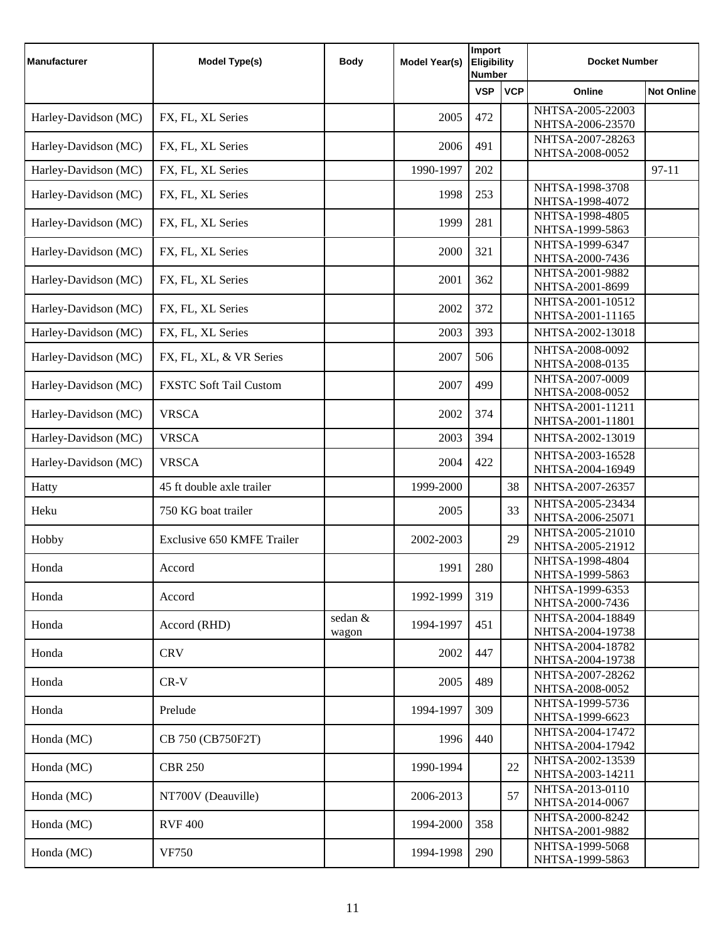| <b>Manufacturer</b>  | <b>Model Type(s)</b>              | <b>Body</b>      | Model Year(s) | Import<br>Eligibility<br><b>Number</b> |            | <b>Docket Number</b>                 |                   |
|----------------------|-----------------------------------|------------------|---------------|----------------------------------------|------------|--------------------------------------|-------------------|
|                      |                                   |                  |               | <b>VSP</b>                             | <b>VCP</b> | Online                               | <b>Not Online</b> |
| Harley-Davidson (MC) | FX, FL, XL Series                 |                  | 2005          | 472                                    |            | NHTSA-2005-22003<br>NHTSA-2006-23570 |                   |
| Harley-Davidson (MC) | FX, FL, XL Series                 |                  | 2006          | 491                                    |            | NHTSA-2007-28263<br>NHTSA-2008-0052  |                   |
| Harley-Davidson (MC) | FX, FL, XL Series                 |                  | 1990-1997     | 202                                    |            |                                      | $97 - 11$         |
| Harley-Davidson (MC) | FX, FL, XL Series                 |                  | 1998          | 253                                    |            | NHTSA-1998-3708<br>NHTSA-1998-4072   |                   |
| Harley-Davidson (MC) | FX, FL, XL Series                 |                  | 1999          | 281                                    |            | NHTSA-1998-4805<br>NHTSA-1999-5863   |                   |
| Harley-Davidson (MC) | FX, FL, XL Series                 |                  | 2000          | 321                                    |            | NHTSA-1999-6347<br>NHTSA-2000-7436   |                   |
| Harley-Davidson (MC) | FX, FL, XL Series                 |                  | 2001          | 362                                    |            | NHTSA-2001-9882<br>NHTSA-2001-8699   |                   |
| Harley-Davidson (MC) | FX, FL, XL Series                 |                  | 2002          | 372                                    |            | NHTSA-2001-10512<br>NHTSA-2001-11165 |                   |
| Harley-Davidson (MC) | FX, FL, XL Series                 |                  | 2003          | 393                                    |            | NHTSA-2002-13018                     |                   |
| Harley-Davidson (MC) | FX, FL, XL, & VR Series           |                  | 2007          | 506                                    |            | NHTSA-2008-0092<br>NHTSA-2008-0135   |                   |
| Harley-Davidson (MC) | <b>FXSTC Soft Tail Custom</b>     |                  | 2007          | 499                                    |            | NHTSA-2007-0009<br>NHTSA-2008-0052   |                   |
| Harley-Davidson (MC) | <b>VRSCA</b>                      |                  | 2002          | 374                                    |            | NHTSA-2001-11211<br>NHTSA-2001-11801 |                   |
| Harley-Davidson (MC) | <b>VRSCA</b>                      |                  | 2003          | 394                                    |            | NHTSA-2002-13019                     |                   |
| Harley-Davidson (MC) | <b>VRSCA</b>                      |                  | 2004          | 422                                    |            | NHTSA-2003-16528<br>NHTSA-2004-16949 |                   |
| Hatty                | 45 ft double axle trailer         |                  | 1999-2000     |                                        | 38         | NHTSA-2007-26357                     |                   |
| Heku                 | 750 KG boat trailer               |                  | 2005          |                                        | 33         | NHTSA-2005-23434<br>NHTSA-2006-25071 |                   |
| Hobby                | <b>Exclusive 650 KMFE Trailer</b> |                  | 2002-2003     |                                        | 29         | NHTSA-2005-21010<br>NHTSA-2005-21912 |                   |
| Honda                | Accord                            |                  | 1991          | 280                                    |            | NHTSA-1998-4804<br>NHTSA-1999-5863   |                   |
| Honda                | Accord                            |                  | 1992-1999     | 319                                    |            | NHTSA-1999-6353<br>NHTSA-2000-7436   |                   |
| Honda                | Accord (RHD)                      | sedan &<br>wagon | 1994-1997     | 451                                    |            | NHTSA-2004-18849<br>NHTSA-2004-19738 |                   |
| Honda                | <b>CRV</b>                        |                  | 2002          | 447                                    |            | NHTSA-2004-18782<br>NHTSA-2004-19738 |                   |
| Honda                | $CR-V$                            |                  | 2005          | 489                                    |            | NHTSA-2007-28262<br>NHTSA-2008-0052  |                   |
| Honda                | Prelude                           |                  | 1994-1997     | 309                                    |            | NHTSA-1999-5736<br>NHTSA-1999-6623   |                   |
| Honda (MC)           | CB 750 (CB750F2T)                 |                  | 1996          | 440                                    |            | NHTSA-2004-17472<br>NHTSA-2004-17942 |                   |
| Honda (MC)           | <b>CBR 250</b>                    |                  | 1990-1994     |                                        | 22         | NHTSA-2002-13539<br>NHTSA-2003-14211 |                   |
| Honda (MC)           | NT700V (Deauville)                |                  | 2006-2013     |                                        | 57         | NHTSA-2013-0110<br>NHTSA-2014-0067   |                   |
| Honda (MC)           | <b>RVF 400</b>                    |                  | 1994-2000     | 358                                    |            | NHTSA-2000-8242<br>NHTSA-2001-9882   |                   |
| Honda (MC)           | <b>VF750</b>                      |                  | 1994-1998     | 290                                    |            | NHTSA-1999-5068<br>NHTSA-1999-5863   |                   |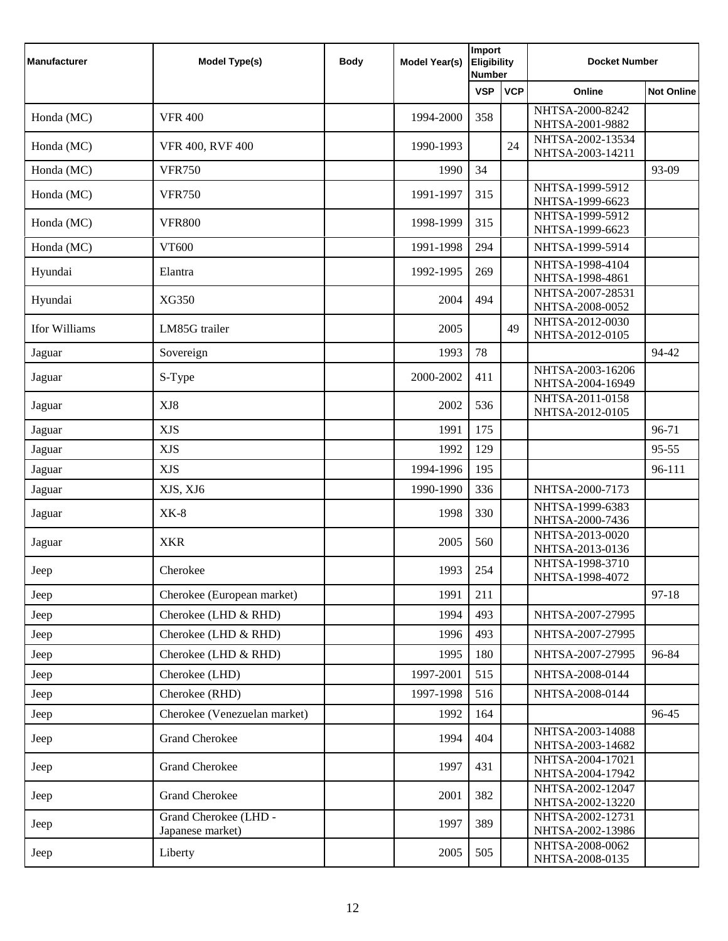| <b>Manufacturer</b> | <b>Model Type(s)</b>                      | <b>Body</b> | <b>Model Year(s)</b> | Import<br>Eligibility<br><b>Number</b> |            | <b>Docket Number</b>                 |                   |
|---------------------|-------------------------------------------|-------------|----------------------|----------------------------------------|------------|--------------------------------------|-------------------|
|                     |                                           |             |                      | <b>VSP</b>                             | <b>VCP</b> | Online                               | <b>Not Online</b> |
| Honda (MC)          | <b>VFR 400</b>                            |             | 1994-2000            | 358                                    |            | NHTSA-2000-8242<br>NHTSA-2001-9882   |                   |
| Honda (MC)          | VFR 400, RVF 400                          |             | 1990-1993            |                                        | 24         | NHTSA-2002-13534<br>NHTSA-2003-14211 |                   |
| Honda (MC)          | <b>VFR750</b>                             |             | 1990                 | 34                                     |            |                                      | 93-09             |
| Honda (MC)          | <b>VFR750</b>                             |             | 1991-1997            | 315                                    |            | NHTSA-1999-5912<br>NHTSA-1999-6623   |                   |
| Honda (MC)          | <b>VFR800</b>                             |             | 1998-1999            | 315                                    |            | NHTSA-1999-5912<br>NHTSA-1999-6623   |                   |
| Honda (MC)          | VT600                                     |             | 1991-1998            | 294                                    |            | NHTSA-1999-5914                      |                   |
| Hyundai             | Elantra                                   |             | 1992-1995            | 269                                    |            | NHTSA-1998-4104<br>NHTSA-1998-4861   |                   |
| Hyundai             | XG350                                     |             | 2004                 | 494                                    |            | NHTSA-2007-28531<br>NHTSA-2008-0052  |                   |
| Ifor Williams       | LM85G trailer                             |             | 2005                 |                                        | 49         | NHTSA-2012-0030<br>NHTSA-2012-0105   |                   |
| Jaguar              | Sovereign                                 |             | 1993                 | 78                                     |            |                                      | 94-42             |
| Jaguar              | S-Type                                    |             | 2000-2002            | 411                                    |            | NHTSA-2003-16206<br>NHTSA-2004-16949 |                   |
| Jaguar              | XJ8                                       |             | 2002                 | 536                                    |            | NHTSA-2011-0158<br>NHTSA-2012-0105   |                   |
| Jaguar              | <b>XJS</b>                                |             | 1991                 | 175                                    |            |                                      | 96-71             |
| Jaguar              | <b>XJS</b>                                |             | 1992                 | 129                                    |            |                                      | $95 - 55$         |
| Jaguar              | <b>XJS</b>                                |             | 1994-1996            | 195                                    |            |                                      | 96-111            |
| Jaguar              | XJS, XJ6                                  |             | 1990-1990            | 336                                    |            | NHTSA-2000-7173                      |                   |
| Jaguar              | $XK-8$                                    |             | 1998                 | 330                                    |            | NHTSA-1999-6383<br>NHTSA-2000-7436   |                   |
| Jaguar              | <b>XKR</b>                                |             | 2005                 | 560                                    |            | NHTSA-2013-0020<br>NHTSA-2013-0136   |                   |
| Jeep                | Cherokee                                  |             | 1993                 | 254                                    |            | NHTSA-1998-3710<br>NHTSA-1998-4072   |                   |
| Jeep                | Cherokee (European market)                |             | 1991                 | 211                                    |            |                                      | $97-18$           |
| Jeep                | Cherokee (LHD & RHD)                      |             | 1994                 | 493                                    |            | NHTSA-2007-27995                     |                   |
| Jeep                | Cherokee (LHD & RHD)                      |             | 1996                 | 493                                    |            | NHTSA-2007-27995                     |                   |
| Jeep                | Cherokee (LHD & RHD)                      |             | 1995                 | 180                                    |            | NHTSA-2007-27995                     | 96-84             |
| Jeep                | Cherokee (LHD)                            |             | 1997-2001            | 515                                    |            | NHTSA-2008-0144                      |                   |
| Jeep                | Cherokee (RHD)                            |             | 1997-1998            | 516                                    |            | NHTSA-2008-0144                      |                   |
| Jeep                | Cherokee (Venezuelan market)              |             | 1992                 | 164                                    |            |                                      | 96-45             |
| Jeep                | <b>Grand Cherokee</b>                     |             | 1994                 | 404                                    |            | NHTSA-2003-14088<br>NHTSA-2003-14682 |                   |
| Jeep                | <b>Grand Cherokee</b>                     |             | 1997                 | 431                                    |            | NHTSA-2004-17021<br>NHTSA-2004-17942 |                   |
| Jeep                | <b>Grand Cherokee</b>                     |             | 2001                 | 382                                    |            | NHTSA-2002-12047<br>NHTSA-2002-13220 |                   |
| Jeep                | Grand Cherokee (LHD -<br>Japanese market) |             | 1997                 | 389                                    |            | NHTSA-2002-12731<br>NHTSA-2002-13986 |                   |
| Jeep                | Liberty                                   |             | 2005                 | 505                                    |            | NHTSA-2008-0062<br>NHTSA-2008-0135   |                   |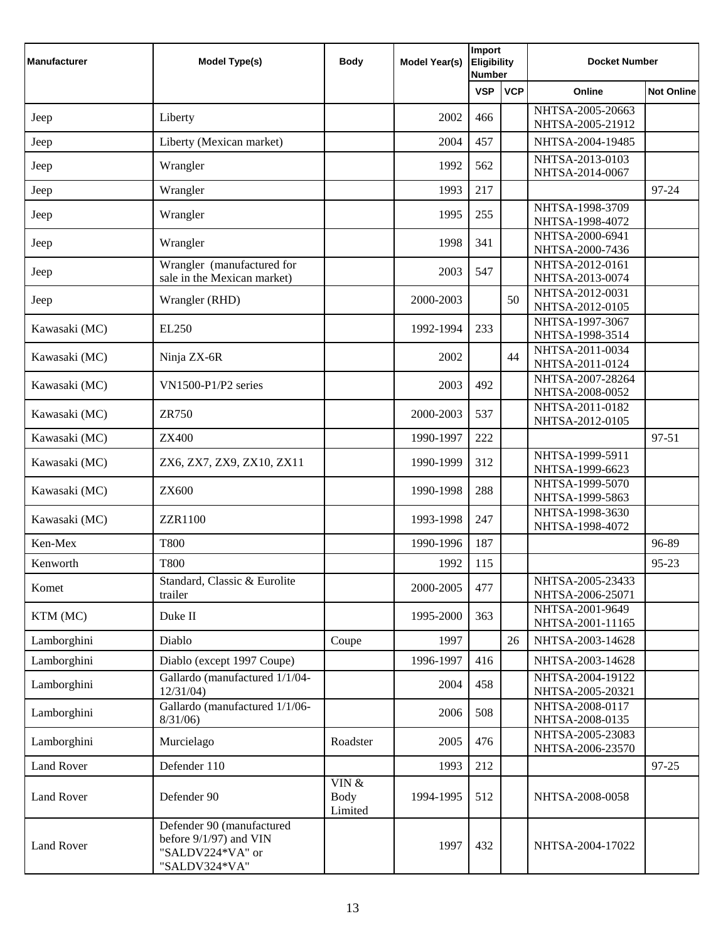| <b>Manufacturer</b> | <b>Model Type(s)</b>                                                                     | <b>Body</b>                 | <b>Model Year(s)</b> | Import<br><b>Eligibility</b><br><b>Number</b> |            | <b>Docket Number</b>                 |                   |
|---------------------|------------------------------------------------------------------------------------------|-----------------------------|----------------------|-----------------------------------------------|------------|--------------------------------------|-------------------|
|                     |                                                                                          |                             |                      | <b>VSP</b>                                    | <b>VCP</b> | Online                               | <b>Not Online</b> |
| Jeep                | Liberty                                                                                  |                             | 2002                 | 466                                           |            | NHTSA-2005-20663<br>NHTSA-2005-21912 |                   |
| Jeep                | Liberty (Mexican market)                                                                 |                             | 2004                 | 457                                           |            | NHTSA-2004-19485                     |                   |
| Jeep                | Wrangler                                                                                 |                             | 1992                 | 562                                           |            | NHTSA-2013-0103<br>NHTSA-2014-0067   |                   |
| Jeep                | Wrangler                                                                                 |                             | 1993                 | 217                                           |            |                                      | 97-24             |
| Jeep                | Wrangler                                                                                 |                             | 1995                 | 255                                           |            | NHTSA-1998-3709<br>NHTSA-1998-4072   |                   |
| Jeep                | Wrangler                                                                                 |                             | 1998                 | 341                                           |            | NHTSA-2000-6941<br>NHTSA-2000-7436   |                   |
| Jeep                | Wrangler (manufactured for<br>sale in the Mexican market)                                |                             | 2003                 | 547                                           |            | NHTSA-2012-0161<br>NHTSA-2013-0074   |                   |
| Jeep                | Wrangler (RHD)                                                                           |                             | 2000-2003            |                                               | 50         | NHTSA-2012-0031<br>NHTSA-2012-0105   |                   |
| Kawasaki (MC)       | EL250                                                                                    |                             | 1992-1994            | 233                                           |            | NHTSA-1997-3067<br>NHTSA-1998-3514   |                   |
| Kawasaki (MC)       | Ninja ZX-6R                                                                              |                             | 2002                 |                                               | 44         | NHTSA-2011-0034<br>NHTSA-2011-0124   |                   |
| Kawasaki (MC)       | VN1500-P1/P2 series                                                                      |                             | 2003                 | 492                                           |            | NHTSA-2007-28264<br>NHTSA-2008-0052  |                   |
| Kawasaki (MC)       | <b>ZR750</b>                                                                             |                             | 2000-2003            | 537                                           |            | NHTSA-2011-0182<br>NHTSA-2012-0105   |                   |
| Kawasaki (MC)       | <b>ZX400</b>                                                                             |                             | 1990-1997            | 222                                           |            |                                      | 97-51             |
| Kawasaki (MC)       | ZX6, ZX7, ZX9, ZX10, ZX11                                                                |                             | 1990-1999            | 312                                           |            | NHTSA-1999-5911<br>NHTSA-1999-6623   |                   |
| Kawasaki (MC)       | <b>ZX600</b>                                                                             |                             | 1990-1998            | 288                                           |            | NHTSA-1999-5070<br>NHTSA-1999-5863   |                   |
| Kawasaki (MC)       | <b>ZZR1100</b>                                                                           |                             | 1993-1998            | 247                                           |            | NHTSA-1998-3630<br>NHTSA-1998-4072   |                   |
| Ken-Mex             | <b>T800</b>                                                                              |                             | 1990-1996            | 187                                           |            |                                      | 96-89             |
| Kenworth            | <b>T800</b>                                                                              |                             | 1992                 | 115                                           |            |                                      | 95-23             |
| Komet               | Standard, Classic & Eurolite<br>trailer                                                  |                             | 2000-2005            | 477                                           |            | NHTSA-2005-23433<br>NHTSA-2006-25071 |                   |
| KTM (MC)            | Duke II                                                                                  |                             | 1995-2000            | 363                                           |            | NHTSA-2001-9649<br>NHTSA-2001-11165  |                   |
| Lamborghini         | Diablo                                                                                   | Coupe                       | 1997                 |                                               | 26         | NHTSA-2003-14628                     |                   |
| Lamborghini         | Diablo (except 1997 Coupe)                                                               |                             | 1996-1997            | 416                                           |            | NHTSA-2003-14628                     |                   |
| Lamborghini         | Gallardo (manufactured 1/1/04-<br>12/31/04                                               |                             | 2004                 | 458                                           |            | NHTSA-2004-19122<br>NHTSA-2005-20321 |                   |
| Lamborghini         | Gallardo (manufactured 1/1/06-<br>8/31/06                                                |                             | 2006                 | 508                                           |            | NHTSA-2008-0117<br>NHTSA-2008-0135   |                   |
| Lamborghini         | Murcielago                                                                               | Roadster                    | 2005                 | 476                                           |            | NHTSA-2005-23083<br>NHTSA-2006-23570 |                   |
| <b>Land Rover</b>   | Defender 110                                                                             |                             | 1993                 | 212                                           |            |                                      | 97-25             |
| <b>Land Rover</b>   | Defender 90                                                                              | VIN $\&$<br>Body<br>Limited | 1994-1995            | 512                                           |            | NHTSA-2008-0058                      |                   |
| <b>Land Rover</b>   | Defender 90 (manufactured<br>before 9/1/97) and VIN<br>"SALDV224*VA" or<br>"SALDV324*VA" |                             | 1997                 | 432                                           |            | NHTSA-2004-17022                     |                   |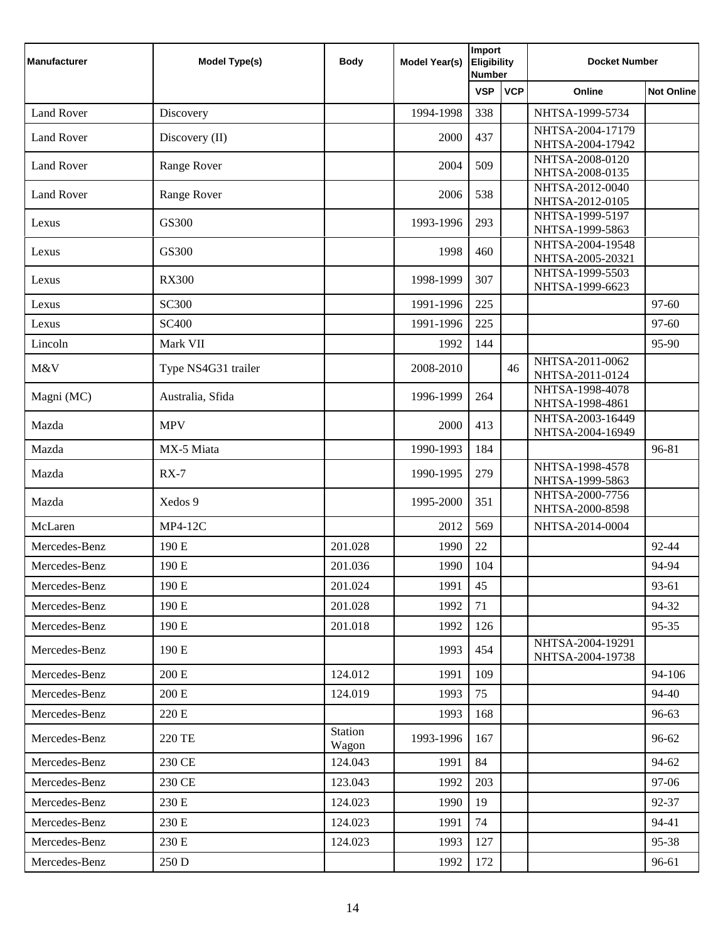| <b>Manufacturer</b> | <b>Model Type(s)</b> | <b>Body</b>             | <b>Model Year(s)</b> | Import<br><b>Eligibility</b><br><b>Number</b> |            | <b>Docket Number</b>                 |                   |
|---------------------|----------------------|-------------------------|----------------------|-----------------------------------------------|------------|--------------------------------------|-------------------|
|                     |                      |                         |                      | <b>VSP</b>                                    | <b>VCP</b> | Online                               | <b>Not Online</b> |
| <b>Land Rover</b>   | Discovery            |                         | 1994-1998            | 338                                           |            | NHTSA-1999-5734                      |                   |
| <b>Land Rover</b>   | Discovery (II)       |                         | 2000                 | 437                                           |            | NHTSA-2004-17179<br>NHTSA-2004-17942 |                   |
| <b>Land Rover</b>   | Range Rover          |                         | 2004                 | 509                                           |            | NHTSA-2008-0120<br>NHTSA-2008-0135   |                   |
| <b>Land Rover</b>   | Range Rover          |                         | 2006                 | 538                                           |            | NHTSA-2012-0040<br>NHTSA-2012-0105   |                   |
| Lexus               | GS300                |                         | 1993-1996            | 293                                           |            | NHTSA-1999-5197<br>NHTSA-1999-5863   |                   |
| Lexus               | GS300                |                         | 1998                 | 460                                           |            | NHTSA-2004-19548<br>NHTSA-2005-20321 |                   |
| Lexus               | <b>RX300</b>         |                         | 1998-1999            | 307                                           |            | NHTSA-1999-5503<br>NHTSA-1999-6623   |                   |
| Lexus               | <b>SC300</b>         |                         | 1991-1996            | 225                                           |            |                                      | 97-60             |
| Lexus               | <b>SC400</b>         |                         | 1991-1996            | 225                                           |            |                                      | 97-60             |
| Lincoln             | Mark VII             |                         | 1992                 | 144                                           |            |                                      | 95-90             |
| M&V                 | Type NS4G31 trailer  |                         | 2008-2010            |                                               | 46         | NHTSA-2011-0062<br>NHTSA-2011-0124   |                   |
| Magni (MC)          | Australia, Sfida     |                         | 1996-1999            | 264                                           |            | NHTSA-1998-4078<br>NHTSA-1998-4861   |                   |
| Mazda               | <b>MPV</b>           |                         | 2000                 | 413                                           |            | NHTSA-2003-16449<br>NHTSA-2004-16949 |                   |
| Mazda               | MX-5 Miata           |                         | 1990-1993            | 184                                           |            |                                      | 96-81             |
| Mazda               | $RX-7$               |                         | 1990-1995            | 279                                           |            | NHTSA-1998-4578<br>NHTSA-1999-5863   |                   |
| Mazda               | Xedos 9              |                         | 1995-2000            | 351                                           |            | NHTSA-2000-7756<br>NHTSA-2000-8598   |                   |
| McLaren             | <b>MP4-12C</b>       |                         | 2012                 | 569                                           |            | NHTSA-2014-0004                      |                   |
| Mercedes-Benz       | 190 E                | 201.028                 | 1990                 | 22                                            |            |                                      | 92-44             |
| Mercedes-Benz       | 190 E                | 201.036                 | 1990                 | 104                                           |            |                                      | 94-94             |
| Mercedes-Benz       | 190 E                | 201.024                 | 1991                 | 45                                            |            |                                      | 93-61             |
| Mercedes-Benz       | 190 E                | 201.028                 | 1992                 | 71                                            |            |                                      | 94-32             |
| Mercedes-Benz       | 190 E                | 201.018                 | 1992                 | 126                                           |            |                                      | $95 - 35$         |
| Mercedes-Benz       | 190 E                |                         | 1993                 | 454                                           |            | NHTSA-2004-19291<br>NHTSA-2004-19738 |                   |
| Mercedes-Benz       | $200\,\mathrm{E}$    | 124.012                 | 1991                 | 109                                           |            |                                      | 94-106            |
| Mercedes-Benz       | 200 E                | 124.019                 | 1993                 | 75                                            |            |                                      | 94-40             |
| Mercedes-Benz       | 220 E                |                         | 1993                 | 168                                           |            |                                      | 96-63             |
| Mercedes-Benz       | 220 TE               | <b>Station</b><br>Wagon | 1993-1996            | 167                                           |            |                                      | 96-62             |
| Mercedes-Benz       | 230 CE               | 124.043                 | 1991                 | 84                                            |            |                                      | 94-62             |
| Mercedes-Benz       | 230 CE               | 123.043                 | 1992                 | 203                                           |            |                                      | 97-06             |
| Mercedes-Benz       | 230 E                | 124.023                 | 1990                 | 19                                            |            |                                      | 92-37             |
| Mercedes-Benz       | 230 E                | 124.023                 | 1991                 | 74                                            |            |                                      | 94-41             |
| Mercedes-Benz       | 230 E                | 124.023                 | 1993                 | 127                                           |            |                                      | 95-38             |
| Mercedes-Benz       | 250 D                |                         | 1992                 | 172                                           |            |                                      | 96-61             |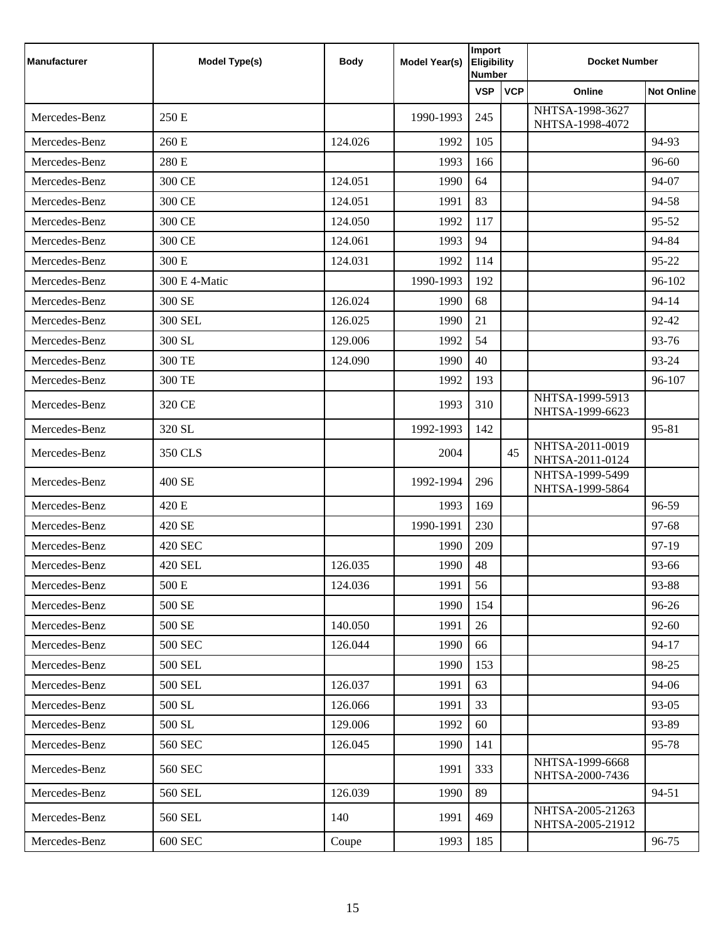| <b>Manufacturer</b> | <b>Model Type(s)</b> | <b>Body</b> | <b>Model Year(s)</b> | Import<br><b>Eligibility</b><br><b>Number</b> |            | <b>Docket Number</b>                 |                   |
|---------------------|----------------------|-------------|----------------------|-----------------------------------------------|------------|--------------------------------------|-------------------|
|                     |                      |             |                      | <b>VSP</b>                                    | <b>VCP</b> | Online                               | <b>Not Online</b> |
| Mercedes-Benz       | 250E                 |             | 1990-1993            | 245                                           |            | NHTSA-1998-3627<br>NHTSA-1998-4072   |                   |
| Mercedes-Benz       | 260 E                | 124.026     | 1992                 | 105                                           |            |                                      | 94-93             |
| Mercedes-Benz       | 280 E                |             | 1993                 | 166                                           |            |                                      | 96-60             |
| Mercedes-Benz       | 300 CE               | 124.051     | 1990                 | 64                                            |            |                                      | 94-07             |
| Mercedes-Benz       | 300 CE               | 124.051     | 1991                 | 83                                            |            |                                      | 94-58             |
| Mercedes-Benz       | 300 CE               | 124.050     | 1992                 | 117                                           |            |                                      | 95-52             |
| Mercedes-Benz       | 300 CE               | 124.061     | 1993                 | 94                                            |            |                                      | 94-84             |
| Mercedes-Benz       | 300 E                | 124.031     | 1992                 | 114                                           |            |                                      | 95-22             |
| Mercedes-Benz       | 300 E 4-Matic        |             | 1990-1993            | 192                                           |            |                                      | 96-102            |
| Mercedes-Benz       | 300 SE               | 126.024     | 1990                 | 68                                            |            |                                      | 94-14             |
| Mercedes-Benz       | <b>300 SEL</b>       | 126.025     | 1990                 | 21                                            |            |                                      | 92-42             |
| Mercedes-Benz       | 300 SL               | 129.006     | 1992                 | 54                                            |            |                                      | 93-76             |
| Mercedes-Benz       | 300 TE               | 124.090     | 1990                 | 40                                            |            |                                      | 93-24             |
| Mercedes-Benz       | 300 TE               |             | 1992                 | 193                                           |            |                                      | 96-107            |
| Mercedes-Benz       | 320 CE               |             | 1993                 | 310                                           |            | NHTSA-1999-5913<br>NHTSA-1999-6623   |                   |
| Mercedes-Benz       | 320 SL               |             | 1992-1993            | 142                                           |            |                                      | 95-81             |
| Mercedes-Benz       | 350 CLS              |             | 2004                 |                                               | 45         | NHTSA-2011-0019<br>NHTSA-2011-0124   |                   |
| Mercedes-Benz       | 400 SE               |             | 1992-1994            | 296                                           |            | NHTSA-1999-5499<br>NHTSA-1999-5864   |                   |
| Mercedes-Benz       | 420 E                |             | 1993                 | 169                                           |            |                                      | 96-59             |
| Mercedes-Benz       | 420 SE               |             | 1990-1991            | 230                                           |            |                                      | 97-68             |
| Mercedes-Benz       | 420 SEC              |             | 1990                 | 209                                           |            |                                      | 97-19             |
| Mercedes-Benz       | 420 SEL              | 126.035     | 1990                 | 48                                            |            |                                      | 93-66             |
| Mercedes-Benz       | 500 E                | 124.036     | 1991                 | 56                                            |            |                                      | 93-88             |
| Mercedes-Benz       | 500 SE               |             | 1990                 | 154                                           |            |                                      | 96-26             |
| Mercedes-Benz       | 500 SE               | 140.050     | 1991                 | 26                                            |            |                                      | $92 - 60$         |
| Mercedes-Benz       | <b>500 SEC</b>       | 126.044     | 1990                 | 66                                            |            |                                      | $94 - 17$         |
| Mercedes-Benz       | <b>500 SEL</b>       |             | 1990                 | 153                                           |            |                                      | 98-25             |
| Mercedes-Benz       | <b>500 SEL</b>       | 126.037     | 1991                 | 63                                            |            |                                      | 94-06             |
| Mercedes-Benz       | 500 SL               | 126.066     | 1991                 | 33                                            |            |                                      | 93-05             |
| Mercedes-Benz       | 500 SL               | 129.006     | 1992                 | 60                                            |            |                                      | 93-89             |
| Mercedes-Benz       | 560 SEC              | 126.045     | 1990                 | 141                                           |            |                                      | 95-78             |
| Mercedes-Benz       | 560 SEC              |             | 1991                 | 333                                           |            | NHTSA-1999-6668<br>NHTSA-2000-7436   |                   |
| Mercedes-Benz       | 560 SEL              | 126.039     | 1990                 | 89                                            |            |                                      | 94-51             |
| Mercedes-Benz       | 560 SEL              | 140         | 1991                 | 469                                           |            | NHTSA-2005-21263<br>NHTSA-2005-21912 |                   |
| Mercedes-Benz       | <b>600 SEC</b>       | Coupe       | 1993                 | 185                                           |            |                                      | 96-75             |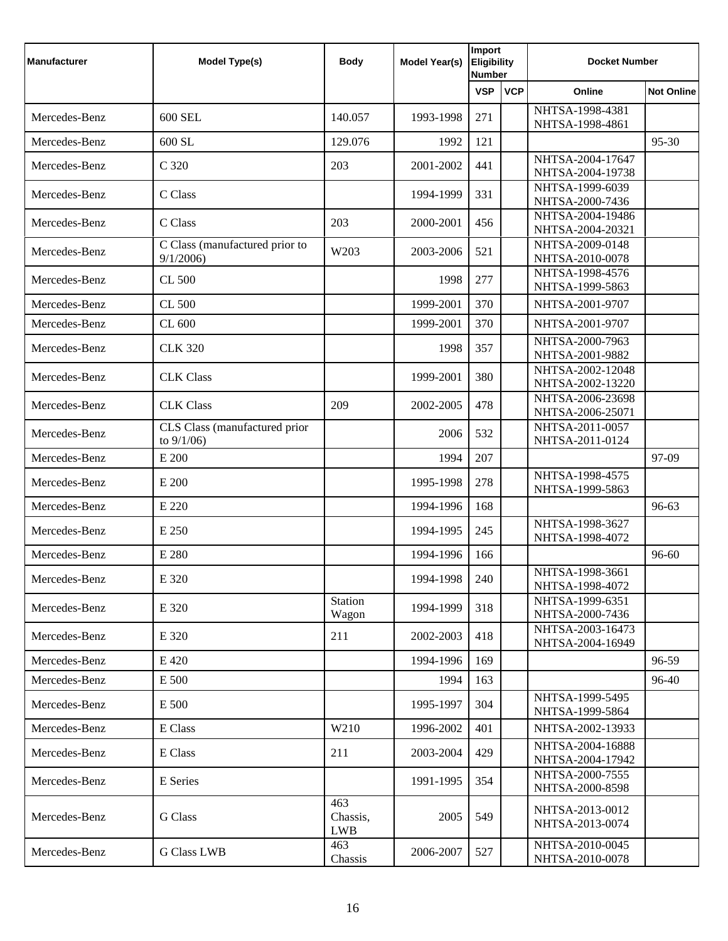| <b>Manufacturer</b> | <b>Model Type(s)</b>                           | <b>Body</b>                   | <b>Model Year(s)</b> | Import<br><b>Eligibility</b><br><b>Number</b> |            | <b>Docket Number</b>                 |                   |
|---------------------|------------------------------------------------|-------------------------------|----------------------|-----------------------------------------------|------------|--------------------------------------|-------------------|
|                     |                                                |                               |                      | <b>VSP</b>                                    | <b>VCP</b> | Online                               | <b>Not Online</b> |
| Mercedes-Benz       | 600 SEL                                        | 140.057                       | 1993-1998            | 271                                           |            | NHTSA-1998-4381<br>NHTSA-1998-4861   |                   |
| Mercedes-Benz       | 600 SL                                         | 129.076                       | 1992                 | 121                                           |            |                                      | 95-30             |
| Mercedes-Benz       | C 320                                          | 203                           | 2001-2002            | 441                                           |            | NHTSA-2004-17647<br>NHTSA-2004-19738 |                   |
| Mercedes-Benz       | C Class                                        |                               | 1994-1999            | 331                                           |            | NHTSA-1999-6039<br>NHTSA-2000-7436   |                   |
| Mercedes-Benz       | C Class                                        | 203                           | 2000-2001            | 456                                           |            | NHTSA-2004-19486<br>NHTSA-2004-20321 |                   |
| Mercedes-Benz       | C Class (manufactured prior to<br>9/1/2006     | W203                          | 2003-2006            | 521                                           |            | NHTSA-2009-0148<br>NHTSA-2010-0078   |                   |
| Mercedes-Benz       | CL 500                                         |                               | 1998                 | 277                                           |            | NHTSA-1998-4576<br>NHTSA-1999-5863   |                   |
| Mercedes-Benz       | CL 500                                         |                               | 1999-2001            | 370                                           |            | NHTSA-2001-9707                      |                   |
| Mercedes-Benz       | CL 600                                         |                               | 1999-2001            | 370                                           |            | NHTSA-2001-9707                      |                   |
| Mercedes-Benz       | <b>CLK 320</b>                                 |                               | 1998                 | 357                                           |            | NHTSA-2000-7963<br>NHTSA-2001-9882   |                   |
| Mercedes-Benz       | <b>CLK Class</b>                               |                               | 1999-2001            | 380                                           |            | NHTSA-2002-12048<br>NHTSA-2002-13220 |                   |
| Mercedes-Benz       | <b>CLK Class</b>                               | 209                           | 2002-2005            | 478                                           |            | NHTSA-2006-23698<br>NHTSA-2006-25071 |                   |
| Mercedes-Benz       | CLS Class (manufactured prior<br>to $9/1/06$ ) |                               | 2006                 | 532                                           |            | NHTSA-2011-0057<br>NHTSA-2011-0124   |                   |
| Mercedes-Benz       | E 200                                          |                               | 1994                 | 207                                           |            |                                      | 97-09             |
| Mercedes-Benz       | E 200                                          |                               | 1995-1998            | 278                                           |            | NHTSA-1998-4575<br>NHTSA-1999-5863   |                   |
| Mercedes-Benz       | E 220                                          |                               | 1994-1996            | 168                                           |            |                                      | 96-63             |
| Mercedes-Benz       | E 250                                          |                               | 1994-1995            | 245                                           |            | NHTSA-1998-3627<br>NHTSA-1998-4072   |                   |
| Mercedes-Benz       | E 280                                          |                               | 1994-1996            | 166                                           |            |                                      | 96-60             |
| Mercedes-Benz       | E 320                                          |                               | 1994-1998            | 240                                           |            | NHTSA-1998-3661<br>NHTSA-1998-4072   |                   |
| Mercedes-Benz       | E 320                                          | <b>Station</b><br>Wagon       | 1994-1999            | 318                                           |            | NHTSA-1999-6351<br>NHTSA-2000-7436   |                   |
| Mercedes-Benz       | E 320                                          | 211                           | 2002-2003            | 418                                           |            | NHTSA-2003-16473<br>NHTSA-2004-16949 |                   |
| Mercedes-Benz       | E 420                                          |                               | 1994-1996            | 169                                           |            |                                      | 96-59             |
| Mercedes-Benz       | E 500                                          |                               | 1994                 | 163                                           |            |                                      | 96-40             |
| Mercedes-Benz       | E 500                                          |                               | 1995-1997            | 304                                           |            | NHTSA-1999-5495<br>NHTSA-1999-5864   |                   |
| Mercedes-Benz       | E Class                                        | W210                          | 1996-2002            | 401                                           |            | NHTSA-2002-13933                     |                   |
| Mercedes-Benz       | E Class                                        | 211                           | 2003-2004            | 429                                           |            | NHTSA-2004-16888<br>NHTSA-2004-17942 |                   |
| Mercedes-Benz       | E Series                                       |                               | 1991-1995            | 354                                           |            | NHTSA-2000-7555<br>NHTSA-2000-8598   |                   |
| Mercedes-Benz       | G Class                                        | 463<br>Chassis,<br><b>LWB</b> | 2005                 | 549                                           |            | NHTSA-2013-0012<br>NHTSA-2013-0074   |                   |
| Mercedes-Benz       | <b>G Class LWB</b>                             | 463<br>Chassis                | 2006-2007            | 527                                           |            | NHTSA-2010-0045<br>NHTSA-2010-0078   |                   |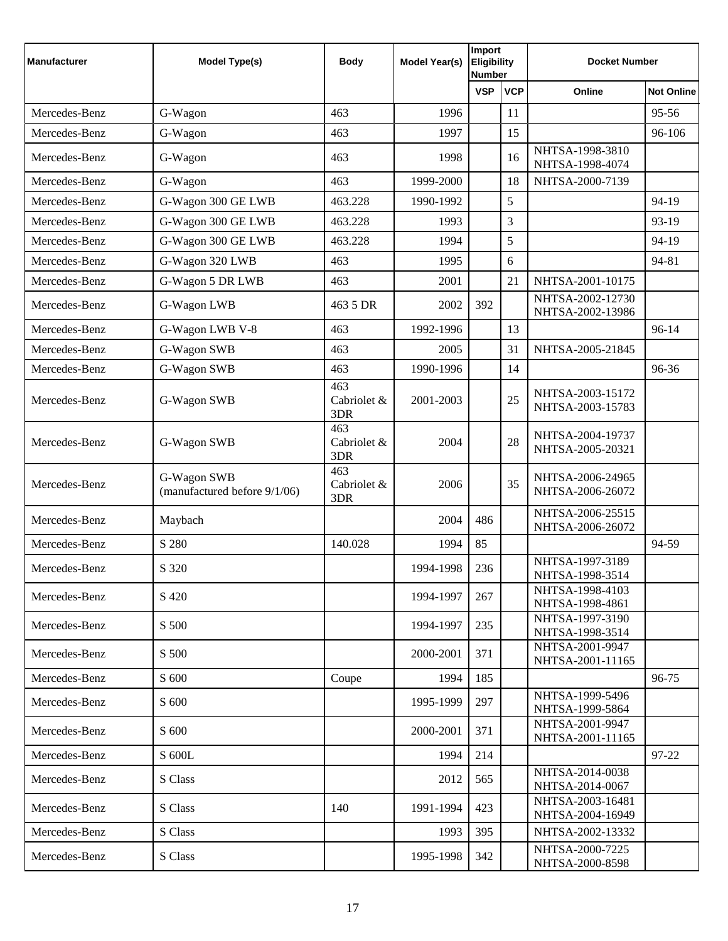| <b>Manufacturer</b> | <b>Model Type(s)</b>                        | <b>Body</b>               | Model Year(s) | Import<br><b>Eligibility</b><br><b>Number</b> |            | <b>Docket Number</b>                 |                   |
|---------------------|---------------------------------------------|---------------------------|---------------|-----------------------------------------------|------------|--------------------------------------|-------------------|
|                     |                                             |                           |               | <b>VSP</b>                                    | <b>VCP</b> | Online                               | <b>Not Online</b> |
| Mercedes-Benz       | G-Wagon                                     | 463                       | 1996          |                                               | 11         |                                      | 95-56             |
| Mercedes-Benz       | G-Wagon                                     | 463                       | 1997          |                                               | 15         |                                      | 96-106            |
| Mercedes-Benz       | G-Wagon                                     | 463                       | 1998          |                                               | 16         | NHTSA-1998-3810<br>NHTSA-1998-4074   |                   |
| Mercedes-Benz       | G-Wagon                                     | 463                       | 1999-2000     |                                               | 18         | NHTSA-2000-7139                      |                   |
| Mercedes-Benz       | G-Wagon 300 GE LWB                          | 463.228                   | 1990-1992     |                                               | 5          |                                      | 94-19             |
| Mercedes-Benz       | G-Wagon 300 GE LWB                          | 463.228                   | 1993          |                                               | 3          |                                      | 93-19             |
| Mercedes-Benz       | G-Wagon 300 GE LWB                          | 463.228                   | 1994          |                                               | 5          |                                      | 94-19             |
| Mercedes-Benz       | G-Wagon 320 LWB                             | 463                       | 1995          |                                               | 6          |                                      | 94-81             |
| Mercedes-Benz       | G-Wagon 5 DR LWB                            | 463                       | 2001          |                                               | 21         | NHTSA-2001-10175                     |                   |
| Mercedes-Benz       | G-Wagon LWB                                 | 463 5 DR                  | 2002          | 392                                           |            | NHTSA-2002-12730<br>NHTSA-2002-13986 |                   |
| Mercedes-Benz       | G-Wagon LWB V-8                             | 463                       | 1992-1996     |                                               | 13         |                                      | 96-14             |
| Mercedes-Benz       | G-Wagon SWB                                 | 463                       | 2005          |                                               | 31         | NHTSA-2005-21845                     |                   |
| Mercedes-Benz       | G-Wagon SWB                                 | 463                       | 1990-1996     |                                               | 14         |                                      | 96-36             |
| Mercedes-Benz       | G-Wagon SWB                                 | 463<br>Cabriolet &<br>3DR | 2001-2003     |                                               | 25         | NHTSA-2003-15172<br>NHTSA-2003-15783 |                   |
| Mercedes-Benz       | G-Wagon SWB                                 | 463<br>Cabriolet &<br>3DR | 2004          |                                               | 28         | NHTSA-2004-19737<br>NHTSA-2005-20321 |                   |
| Mercedes-Benz       | G-Wagon SWB<br>(manufactured before 9/1/06) | 463<br>Cabriolet &<br>3DR | 2006          |                                               | 35         | NHTSA-2006-24965<br>NHTSA-2006-26072 |                   |
| Mercedes-Benz       | Maybach                                     |                           | 2004          | 486                                           |            | NHTSA-2006-25515<br>NHTSA-2006-26072 |                   |
| Mercedes-Benz       | S 280                                       | 140.028                   | 1994          | 85                                            |            |                                      | 94-59             |
| Mercedes-Benz       | S 320                                       |                           | 1994-1998     | 236                                           |            | NHTSA-1997-3189<br>NHTSA-1998-3514   |                   |
| Mercedes-Benz       | S 420                                       |                           | 1994-1997     | 267                                           |            | NHTSA-1998-4103<br>NHTSA-1998-4861   |                   |
| Mercedes-Benz       | S 500                                       |                           | 1994-1997     | 235                                           |            | NHTSA-1997-3190<br>NHTSA-1998-3514   |                   |
| Mercedes-Benz       | S 500                                       |                           | 2000-2001     | 371                                           |            | NHTSA-2001-9947<br>NHTSA-2001-11165  |                   |
| Mercedes-Benz       | S 600                                       | Coupe                     | 1994          | 185                                           |            |                                      | 96-75             |
| Mercedes-Benz       | S 600                                       |                           | 1995-1999     | 297                                           |            | NHTSA-1999-5496<br>NHTSA-1999-5864   |                   |
| Mercedes-Benz       | S 600                                       |                           | 2000-2001     | 371                                           |            | NHTSA-2001-9947<br>NHTSA-2001-11165  |                   |
| Mercedes-Benz       | S 600L                                      |                           | 1994          | 214                                           |            |                                      | 97-22             |
| Mercedes-Benz       | S Class                                     |                           | 2012          | 565                                           |            | NHTSA-2014-0038<br>NHTSA-2014-0067   |                   |
| Mercedes-Benz       | S Class                                     | 140                       | 1991-1994     | 423                                           |            | NHTSA-2003-16481<br>NHTSA-2004-16949 |                   |
| Mercedes-Benz       | S Class                                     |                           | 1993          | 395                                           |            | NHTSA-2002-13332                     |                   |
| Mercedes-Benz       | S Class                                     |                           | 1995-1998     | 342                                           |            | NHTSA-2000-7225<br>NHTSA-2000-8598   |                   |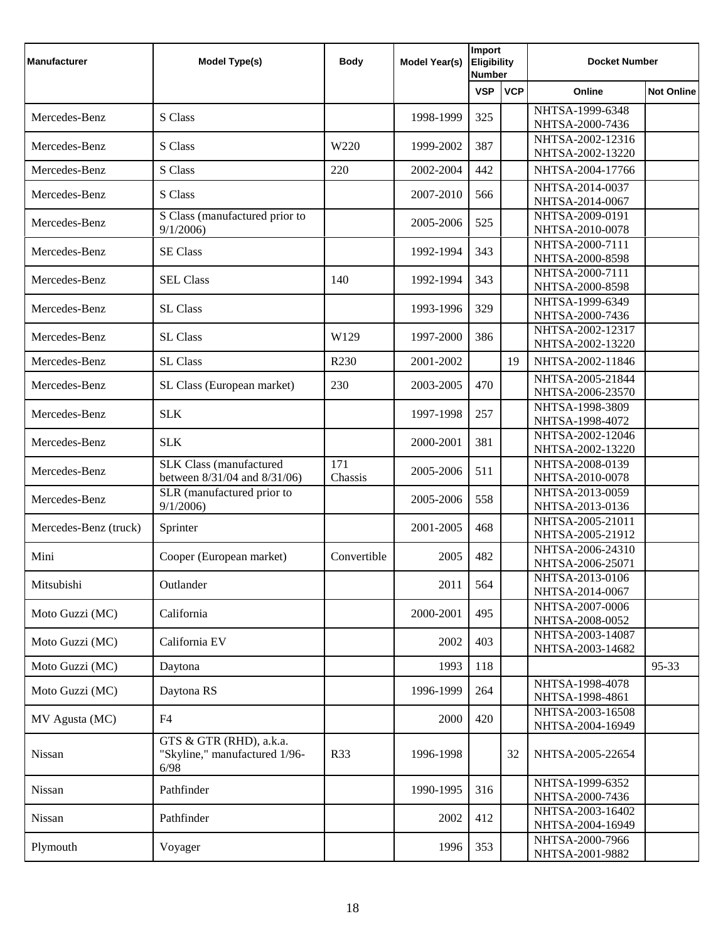| <b>Manufacturer</b>   | <b>Model Type(s)</b>                                             | <b>Body</b>      | <b>Model Year(s)</b> | Import<br><b>Eligibility</b><br><b>Number</b> |            | <b>Docket Number</b>                 |                   |
|-----------------------|------------------------------------------------------------------|------------------|----------------------|-----------------------------------------------|------------|--------------------------------------|-------------------|
|                       |                                                                  |                  |                      | <b>VSP</b>                                    | <b>VCP</b> | Online                               | <b>Not Online</b> |
| Mercedes-Benz         | S Class                                                          |                  | 1998-1999            | 325                                           |            | NHTSA-1999-6348<br>NHTSA-2000-7436   |                   |
| Mercedes-Benz         | S Class                                                          | W220             | 1999-2002            | 387                                           |            | NHTSA-2002-12316                     |                   |
| Mercedes-Benz         | S Class                                                          | 220              | 2002-2004            | 442                                           |            | NHTSA-2002-13220<br>NHTSA-2004-17766 |                   |
| Mercedes-Benz         | S Class                                                          |                  | 2007-2010            | 566                                           |            | NHTSA-2014-0037                      |                   |
|                       | S Class (manufactured prior to                                   |                  |                      |                                               |            | NHTSA-2014-0067<br>NHTSA-2009-0191   |                   |
| Mercedes-Benz         | 9/1/2006                                                         |                  | 2005-2006            | 525                                           |            | NHTSA-2010-0078                      |                   |
| Mercedes-Benz         | <b>SE Class</b>                                                  |                  | 1992-1994            | 343                                           |            | NHTSA-2000-7111<br>NHTSA-2000-8598   |                   |
| Mercedes-Benz         | <b>SEL Class</b>                                                 | 140              | 1992-1994            | 343                                           |            | NHTSA-2000-7111<br>NHTSA-2000-8598   |                   |
| Mercedes-Benz         | SL Class                                                         |                  | 1993-1996            | 329                                           |            | NHTSA-1999-6349                      |                   |
|                       |                                                                  |                  |                      |                                               |            | NHTSA-2000-7436<br>NHTSA-2002-12317  |                   |
| Mercedes-Benz         | SL Class                                                         | W129             | 1997-2000            | 386                                           |            | NHTSA-2002-13220                     |                   |
| Mercedes-Benz         | <b>SL Class</b>                                                  | R <sub>230</sub> | 2001-2002            |                                               | 19         | NHTSA-2002-11846                     |                   |
| Mercedes-Benz         | SL Class (European market)                                       | 230              | 2003-2005            | 470                                           |            | NHTSA-2005-21844<br>NHTSA-2006-23570 |                   |
| Mercedes-Benz         | <b>SLK</b>                                                       |                  | 1997-1998            | 257                                           |            | NHTSA-1998-3809<br>NHTSA-1998-4072   |                   |
| Mercedes-Benz         | <b>SLK</b>                                                       |                  | 2000-2001            | 381                                           |            | NHTSA-2002-12046<br>NHTSA-2002-13220 |                   |
| Mercedes-Benz         | <b>SLK Class (manufactured)</b><br>between 8/31/04 and 8/31/06)  | 171<br>Chassis   | 2005-2006            | 511                                           |            | NHTSA-2008-0139<br>NHTSA-2010-0078   |                   |
| Mercedes-Benz         | SLR (manufactured prior to<br>9/1/2006                           |                  | 2005-2006            | 558                                           |            | NHTSA-2013-0059<br>NHTSA-2013-0136   |                   |
| Mercedes-Benz (truck) | Sprinter                                                         |                  | 2001-2005            | 468                                           |            | NHTSA-2005-21011<br>NHTSA-2005-21912 |                   |
| Mini                  | Cooper (European market)                                         | Convertible      | 2005                 | 482                                           |            | NHTSA-2006-24310<br>NHTSA-2006-25071 |                   |
| Mitsubishi            | Outlander                                                        |                  | 2011                 | 564                                           |            | NHTSA-2013-0106<br>NHTSA-2014-0067   |                   |
| Moto Guzzi (MC)       | California                                                       |                  | 2000-2001            | 495                                           |            | NHTSA-2007-0006<br>NHTSA-2008-0052   |                   |
| Moto Guzzi (MC)       | California EV                                                    |                  | 2002                 | 403                                           |            | NHTSA-2003-14087<br>NHTSA-2003-14682 |                   |
| Moto Guzzi (MC)       | Daytona                                                          |                  | 1993                 | 118                                           |            |                                      | 95-33             |
| Moto Guzzi (MC)       | Daytona RS                                                       |                  | 1996-1999            | 264                                           |            | NHTSA-1998-4078<br>NHTSA-1998-4861   |                   |
| MV Agusta (MC)        | F4                                                               |                  | 2000                 | 420                                           |            | NHTSA-2003-16508<br>NHTSA-2004-16949 |                   |
| Nissan                | GTS & GTR (RHD), a.k.a.<br>"Skyline," manufactured 1/96-<br>6/98 | <b>R33</b>       | 1996-1998            |                                               | 32         | NHTSA-2005-22654                     |                   |
| Nissan                | Pathfinder                                                       |                  | 1990-1995            | 316                                           |            | NHTSA-1999-6352<br>NHTSA-2000-7436   |                   |
| Nissan                | Pathfinder                                                       |                  | 2002                 | 412                                           |            | NHTSA-2003-16402<br>NHTSA-2004-16949 |                   |
| Plymouth              | Voyager                                                          |                  | 1996                 | 353                                           |            | NHTSA-2000-7966<br>NHTSA-2001-9882   |                   |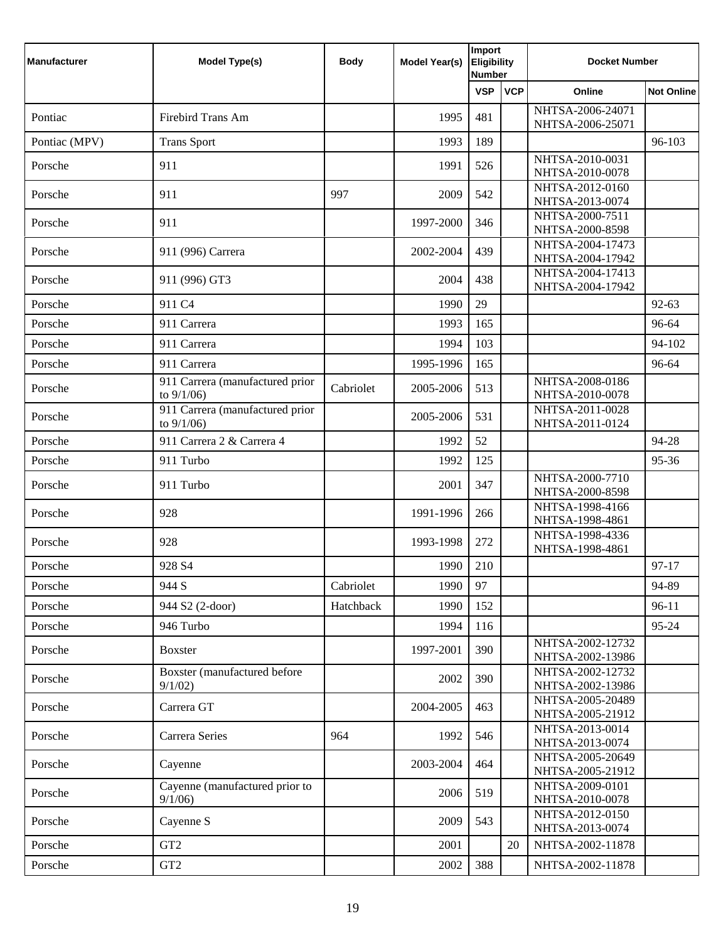| <b>Manufacturer</b> | <b>Model Type(s)</b>                             | <b>Body</b> | <b>Model Year(s)</b> | Import<br><b>Eligibility</b><br><b>Number</b> |            | <b>Docket Number</b>                 |                   |
|---------------------|--------------------------------------------------|-------------|----------------------|-----------------------------------------------|------------|--------------------------------------|-------------------|
|                     |                                                  |             |                      | <b>VSP</b>                                    | <b>VCP</b> | Online                               | <b>Not Online</b> |
| Pontiac             | <b>Firebird Trans Am</b>                         |             | 1995                 | 481                                           |            | NHTSA-2006-24071<br>NHTSA-2006-25071 |                   |
| Pontiac (MPV)       | <b>Trans Sport</b>                               |             | 1993                 | 189                                           |            |                                      | 96-103            |
| Porsche             | 911                                              |             | 1991                 | 526                                           |            | NHTSA-2010-0031<br>NHTSA-2010-0078   |                   |
| Porsche             | 911                                              | 997         | 2009                 | 542                                           |            | NHTSA-2012-0160<br>NHTSA-2013-0074   |                   |
| Porsche             | 911                                              |             | 1997-2000            | 346                                           |            | NHTSA-2000-7511<br>NHTSA-2000-8598   |                   |
| Porsche             | 911 (996) Carrera                                |             | 2002-2004            | 439                                           |            | NHTSA-2004-17473<br>NHTSA-2004-17942 |                   |
| Porsche             | 911 (996) GT3                                    |             | 2004                 | 438                                           |            | NHTSA-2004-17413<br>NHTSA-2004-17942 |                   |
| Porsche             | 911 C <sub>4</sub>                               |             | 1990                 | 29                                            |            |                                      | 92-63             |
| Porsche             | 911 Carrera                                      |             | 1993                 | 165                                           |            |                                      | 96-64             |
| Porsche             | 911 Carrera                                      |             | 1994                 | 103                                           |            |                                      | 94-102            |
| Porsche             | 911 Carrera                                      |             | 1995-1996            | 165                                           |            |                                      | 96-64             |
| Porsche             | 911 Carrera (manufactured prior<br>to $9/1/06$ ) | Cabriolet   | 2005-2006            | 513                                           |            | NHTSA-2008-0186<br>NHTSA-2010-0078   |                   |
| Porsche             | 911 Carrera (manufactured prior<br>to $9/1/06$ ) |             | 2005-2006            | 531                                           |            | NHTSA-2011-0028<br>NHTSA-2011-0124   |                   |
| Porsche             | 911 Carrera 2 & Carrera 4                        |             | 1992                 | 52                                            |            |                                      | 94-28             |
| Porsche             | 911 Turbo                                        |             | 1992                 | 125                                           |            |                                      | 95-36             |
| Porsche             | 911 Turbo                                        |             | 2001                 | 347                                           |            | NHTSA-2000-7710<br>NHTSA-2000-8598   |                   |
| Porsche             | 928                                              |             | 1991-1996            | 266                                           |            | NHTSA-1998-4166<br>NHTSA-1998-4861   |                   |
| Porsche             | 928                                              |             | 1993-1998            | 272                                           |            | NHTSA-1998-4336<br>NHTSA-1998-4861   |                   |
| Porsche             | 928 S4                                           |             | 1990                 | 210                                           |            |                                      | 97-17             |
| Porsche             | 944 S                                            | Cabriolet   | 1990                 | 97                                            |            |                                      | 94-89             |
| Porsche             | 944 S2 (2-door)                                  | Hatchback   | 1990                 | 152                                           |            |                                      | $96-11$           |
| Porsche             | 946 Turbo                                        |             | 1994                 | 116                                           |            |                                      | 95-24             |
| Porsche             | <b>Boxster</b>                                   |             | 1997-2001            | 390                                           |            | NHTSA-2002-12732<br>NHTSA-2002-13986 |                   |
| Porsche             | Boxster (manufactured before<br>9/1/02           |             | 2002                 | 390                                           |            | NHTSA-2002-12732<br>NHTSA-2002-13986 |                   |
| Porsche             | Carrera GT                                       |             | 2004-2005            | 463                                           |            | NHTSA-2005-20489<br>NHTSA-2005-21912 |                   |
| Porsche             | Carrera Series                                   | 964         | 1992                 | 546                                           |            | NHTSA-2013-0014<br>NHTSA-2013-0074   |                   |
| Porsche             | Cayenne                                          |             | 2003-2004            | 464                                           |            | NHTSA-2005-20649<br>NHTSA-2005-21912 |                   |
| Porsche             | Cayenne (manufactured prior to<br>9/1/06         |             | 2006                 | 519                                           |            | NHTSA-2009-0101<br>NHTSA-2010-0078   |                   |
| Porsche             | Cayenne S                                        |             | 2009                 | 543                                           |            | NHTSA-2012-0150<br>NHTSA-2013-0074   |                   |
| Porsche             | GT <sub>2</sub>                                  |             | 2001                 |                                               | 20         | NHTSA-2002-11878                     |                   |
| Porsche             | GT <sub>2</sub>                                  |             | 2002                 | 388                                           |            | NHTSA-2002-11878                     |                   |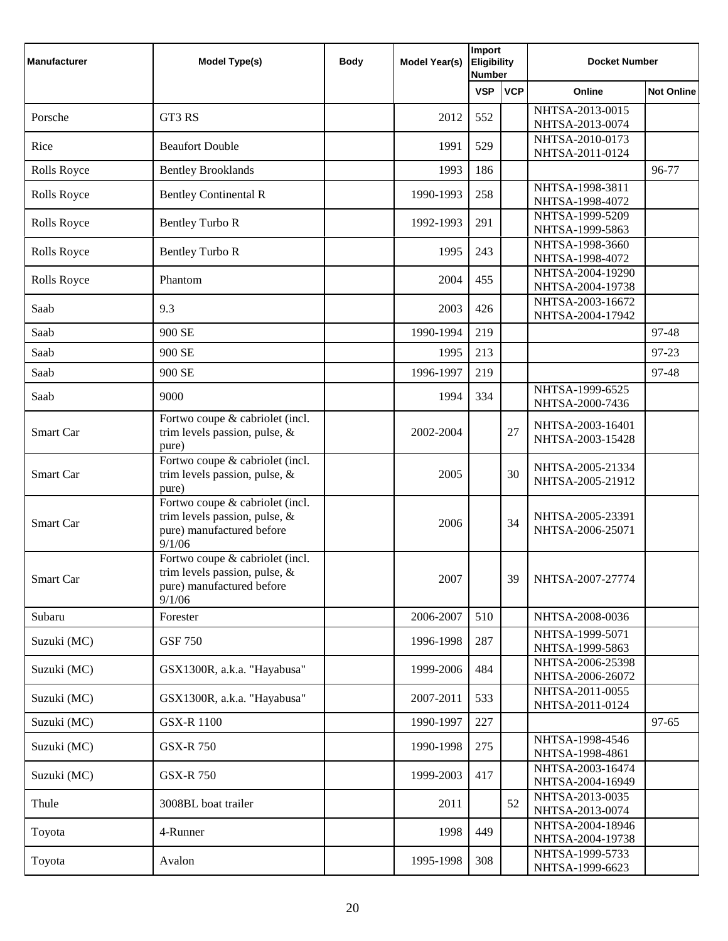| Manufacturer | Model Type(s)                                                                                              | <b>Body</b> | Model Year(s) | Import<br><b>Eligibility</b><br><b>Number</b> |            | <b>Docket Number</b>                 |                   |
|--------------|------------------------------------------------------------------------------------------------------------|-------------|---------------|-----------------------------------------------|------------|--------------------------------------|-------------------|
|              |                                                                                                            |             |               | <b>VSP</b>                                    | <b>VCP</b> | Online                               | <b>Not Online</b> |
| Porsche      | GT3 RS                                                                                                     |             | 2012          | 552                                           |            | NHTSA-2013-0015<br>NHTSA-2013-0074   |                   |
| Rice         | <b>Beaufort Double</b>                                                                                     |             | 1991          | 529                                           |            | NHTSA-2010-0173<br>NHTSA-2011-0124   |                   |
| Rolls Royce  | <b>Bentley Brooklands</b>                                                                                  |             | 1993          | 186                                           |            |                                      | 96-77             |
| Rolls Royce  | <b>Bentley Continental R</b>                                                                               |             | 1990-1993     | 258                                           |            | NHTSA-1998-3811<br>NHTSA-1998-4072   |                   |
| Rolls Royce  | <b>Bentley Turbo R</b>                                                                                     |             | 1992-1993     | 291                                           |            | NHTSA-1999-5209<br>NHTSA-1999-5863   |                   |
| Rolls Royce  | <b>Bentley Turbo R</b>                                                                                     |             | 1995          | 243                                           |            | NHTSA-1998-3660<br>NHTSA-1998-4072   |                   |
| Rolls Royce  | Phantom                                                                                                    |             | 2004          | 455                                           |            | NHTSA-2004-19290<br>NHTSA-2004-19738 |                   |
| Saab         | 9.3                                                                                                        |             | 2003          | 426                                           |            | NHTSA-2003-16672<br>NHTSA-2004-17942 |                   |
| Saab         | 900 SE                                                                                                     |             | 1990-1994     | 219                                           |            |                                      | 97-48             |
| Saab         | 900 SE                                                                                                     |             | 1995          | 213                                           |            |                                      | 97-23             |
| Saab         | 900 SE                                                                                                     |             | 1996-1997     | 219                                           |            |                                      | 97-48             |
| Saab         | 9000                                                                                                       |             | 1994          | 334                                           |            | NHTSA-1999-6525<br>NHTSA-2000-7436   |                   |
| Smart Car    | Fortwo coupe & cabriolet (incl.<br>trim levels passion, pulse, &<br>pure)                                  |             | 2002-2004     |                                               | 27         | NHTSA-2003-16401<br>NHTSA-2003-15428 |                   |
| Smart Car    | Fortwo coupe $\&$ cabriolet (incl.<br>trim levels passion, pulse, &<br>pure)                               |             | 2005          |                                               | 30         | NHTSA-2005-21334<br>NHTSA-2005-21912 |                   |
| Smart Car    | Fortwo coupe & cabriolet (incl.<br>trim levels passion, pulse, &<br>pure) manufactured before<br>9/1/06    |             | 2006          |                                               | 34         | NHTSA-2005-23391<br>NHTSA-2006-25071 |                   |
| Smart Car    | Fortwo coupe & cabriolet (incl.<br>trim levels passion, pulse, $\&$<br>pure) manufactured before<br>9/1/06 |             | 2007          |                                               | 39         | NHTSA-2007-27774                     |                   |
| Subaru       | Forester                                                                                                   |             | 2006-2007     | 510                                           |            | NHTSA-2008-0036                      |                   |
| Suzuki (MC)  | <b>GSF 750</b>                                                                                             |             | 1996-1998     | 287                                           |            | NHTSA-1999-5071<br>NHTSA-1999-5863   |                   |
| Suzuki (MC)  | GSX1300R, a.k.a. "Hayabusa"                                                                                |             | 1999-2006     | 484                                           |            | NHTSA-2006-25398<br>NHTSA-2006-26072 |                   |
| Suzuki (MC)  | GSX1300R, a.k.a. "Hayabusa"                                                                                |             | 2007-2011     | 533                                           |            | NHTSA-2011-0055<br>NHTSA-2011-0124   |                   |
| Suzuki (MC)  | <b>GSX-R 1100</b>                                                                                          |             | 1990-1997     | 227                                           |            |                                      | $97 - 65$         |
| Suzuki (MC)  | <b>GSX-R750</b>                                                                                            |             | 1990-1998     | 275                                           |            | NHTSA-1998-4546<br>NHTSA-1998-4861   |                   |
| Suzuki (MC)  | <b>GSX-R750</b>                                                                                            |             | 1999-2003     | 417                                           |            | NHTSA-2003-16474<br>NHTSA-2004-16949 |                   |
| Thule        | 3008BL boat trailer                                                                                        |             | 2011          |                                               | 52         | NHTSA-2013-0035<br>NHTSA-2013-0074   |                   |
| Toyota       | 4-Runner                                                                                                   |             | 1998          | 449                                           |            | NHTSA-2004-18946<br>NHTSA-2004-19738 |                   |
| Toyota       | Avalon                                                                                                     |             | 1995-1998     | 308                                           |            | NHTSA-1999-5733<br>NHTSA-1999-6623   |                   |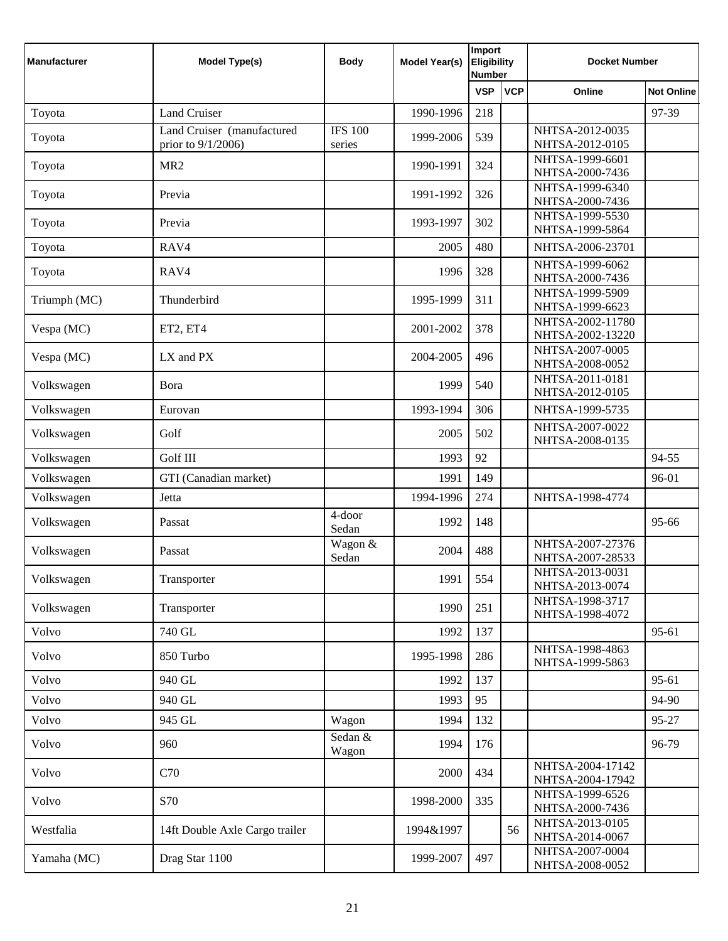| <b>Manufacturer</b> | <b>Model Type(s)</b>                             | <b>Body</b>              | <b>Model Year(s)</b> | Import<br><b>Eligibility</b><br><b>Number</b> |            | <b>Docket Number</b>                 |                   |
|---------------------|--------------------------------------------------|--------------------------|----------------------|-----------------------------------------------|------------|--------------------------------------|-------------------|
|                     |                                                  |                          |                      | <b>VSP</b>                                    | <b>VCP</b> | Online                               | <b>Not Online</b> |
| Toyota              | <b>Land Cruiser</b>                              |                          | 1990-1996            | 218                                           |            |                                      | 97-39             |
| Toyota              | Land Cruiser (manufactured<br>prior to 9/1/2006) | <b>IFS 100</b><br>series | 1999-2006            | 539                                           |            | NHTSA-2012-0035<br>NHTSA-2012-0105   |                   |
| Toyota              | MR <sub>2</sub>                                  |                          | 1990-1991            | 324                                           |            | NHTSA-1999-6601<br>NHTSA-2000-7436   |                   |
| Toyota              | Previa                                           |                          | 1991-1992            | 326                                           |            | NHTSA-1999-6340<br>NHTSA-2000-7436   |                   |
| Toyota              | Previa                                           |                          | 1993-1997            | 302                                           |            | NHTSA-1999-5530<br>NHTSA-1999-5864   |                   |
| Toyota              | RAV4                                             |                          | 2005                 | 480                                           |            | NHTSA-2006-23701                     |                   |
| Toyota              | RAV4                                             |                          | 1996                 | 328                                           |            | NHTSA-1999-6062<br>NHTSA-2000-7436   |                   |
| Triumph (MC)        | Thunderbird                                      |                          | 1995-1999            | 311                                           |            | NHTSA-1999-5909<br>NHTSA-1999-6623   |                   |
| Vespa (MC)          | ET2, ET4                                         |                          | 2001-2002            | 378                                           |            | NHTSA-2002-11780<br>NHTSA-2002-13220 |                   |
| Vespa (MC)          | LX and PX                                        |                          | 2004-2005            | 496                                           |            | NHTSA-2007-0005<br>NHTSA-2008-0052   |                   |
| Volkswagen          | Bora                                             |                          | 1999                 | 540                                           |            | NHTSA-2011-0181<br>NHTSA-2012-0105   |                   |
| Volkswagen          | Eurovan                                          |                          | 1993-1994            | 306                                           |            | NHTSA-1999-5735                      |                   |
| Volkswagen          | Golf                                             |                          | 2005                 | 502                                           |            | NHTSA-2007-0022<br>NHTSA-2008-0135   |                   |
| Volkswagen          | Golf III                                         |                          | 1993                 | 92                                            |            |                                      | 94-55             |
| Volkswagen          | GTI (Canadian market)                            |                          | 1991                 | 149                                           |            |                                      | 96-01             |
| Volkswagen          | Jetta                                            |                          | 1994-1996            | 274                                           |            | NHTSA-1998-4774                      |                   |
| Volkswagen          | Passat                                           | 4-door<br>Sedan          | 1992                 | 148                                           |            |                                      | 95-66             |
| Volkswagen          | Passat                                           | Wagon &<br>Sedan         | 2004                 | 488                                           |            | NHTSA-2007-27376<br>NHTSA-2007-28533 |                   |
| Volkswagen          | Transporter                                      |                          | 1991                 | 554                                           |            | NHTSA-2013-0031<br>NHTSA-2013-0074   |                   |
| Volkswagen          | Transporter                                      |                          | 1990                 | 251                                           |            | NHTSA-1998-3717<br>NHTSA-1998-4072   |                   |
| Volvo               | 740 GL                                           |                          | 1992                 | 137                                           |            |                                      | 95-61             |
| Volvo               | 850 Turbo                                        |                          | 1995-1998            | 286                                           |            | NHTSA-1998-4863<br>NHTSA-1999-5863   |                   |
| Volvo               | 940 GL                                           |                          | 1992                 | 137                                           |            |                                      | 95-61             |
| Volvo               | 940 GL                                           |                          | 1993                 | 95                                            |            |                                      | 94-90             |
| Volvo               | 945 GL                                           | Wagon                    | 1994                 | 132                                           |            |                                      | 95-27             |
| Volvo               | 960                                              | Sedan &<br>Wagon         | 1994                 | 176                                           |            |                                      | 96-79             |
| Volvo               | C70                                              |                          | 2000                 | 434                                           |            | NHTSA-2004-17142<br>NHTSA-2004-17942 |                   |
| Volvo               | S70                                              |                          | 1998-2000            | 335                                           |            | NHTSA-1999-6526<br>NHTSA-2000-7436   |                   |
| Westfalia           | 14ft Double Axle Cargo trailer                   |                          | 1994&1997            |                                               | 56         | NHTSA-2013-0105<br>NHTSA-2014-0067   |                   |
| Yamaha (MC)         | Drag Star 1100                                   |                          | 1999-2007            | 497                                           |            | NHTSA-2007-0004<br>NHTSA-2008-0052   |                   |